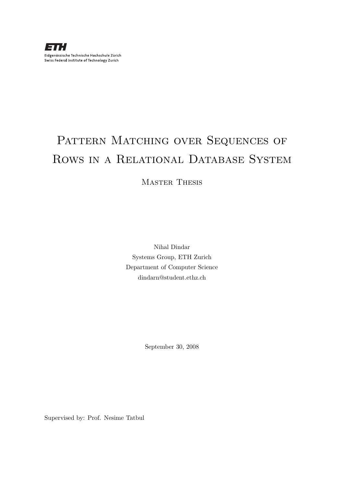# PATTERN MATCHING OVER SEQUENCES OF Rows in a Relational Database System

Master Thesis

Nihal Dindar Systems Group, ETH Zurich Department of Computer Science dindarn@student.ethz.ch

September 30, 2008

Supervised by: Prof. Nesime Tatbul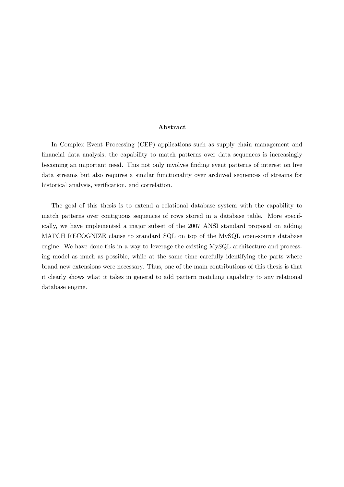#### Abstract

In Complex Event Processing (CEP) applications such as supply chain management and financial data analysis, the capability to match patterns over data sequences is increasingly becoming an important need. This not only involves finding event patterns of interest on live data streams but also requires a similar functionality over archived sequences of streams for historical analysis, verification, and correlation.

The goal of this thesis is to extend a relational database system with the capability to match patterns over contiguous sequences of rows stored in a database table. More specifically, we have implemented a major subset of the 2007 ANSI standard proposal on adding MATCH RECOGNIZE clause to standard SQL on top of the MySQL open-source database engine. We have done this in a way to leverage the existing MySQL architecture and processing model as much as possible, while at the same time carefully identifying the parts where brand new extensions were necessary. Thus, one of the main contributions of this thesis is that it clearly shows what it takes in general to add pattern matching capability to any relational database engine.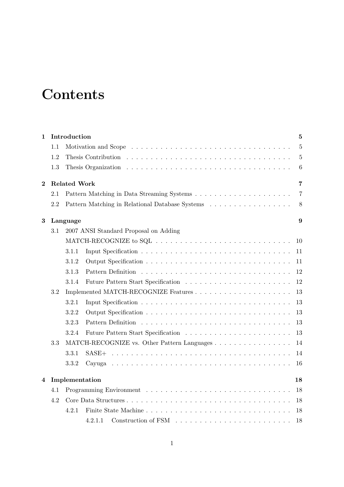# **Contents**

| 1        |     | Introduction<br>$\overline{5}$        |                |  |  |  |  |  |  |
|----------|-----|---------------------------------------|----------------|--|--|--|--|--|--|
|          | 1.1 |                                       | 5              |  |  |  |  |  |  |
|          | 1.2 | Thesis Contribution                   | $\overline{5}$ |  |  |  |  |  |  |
|          | 1.3 |                                       | 6              |  |  |  |  |  |  |
| $\bf{2}$ |     | <b>Related Work</b>                   | 7              |  |  |  |  |  |  |
|          | 2.1 |                                       | 7              |  |  |  |  |  |  |
|          | 2.2 |                                       | 8              |  |  |  |  |  |  |
| 3        |     | Language                              | 9              |  |  |  |  |  |  |
|          | 3.1 | 2007 ANSI Standard Proposal on Adding |                |  |  |  |  |  |  |
|          |     |                                       | 10             |  |  |  |  |  |  |
|          |     | 3.1.1                                 | 11             |  |  |  |  |  |  |
|          |     | 3.1.2                                 | 11             |  |  |  |  |  |  |
|          |     | 3.1.3<br>Pattern Definition           | 12             |  |  |  |  |  |  |
|          |     | 3.1.4                                 | 12             |  |  |  |  |  |  |
|          | 3.2 |                                       | 13             |  |  |  |  |  |  |
|          |     | 3.2.1                                 | 13             |  |  |  |  |  |  |
|          |     | 3.2.2                                 | 13             |  |  |  |  |  |  |
|          |     | 3.2.3<br>Pattern Definition           | 13             |  |  |  |  |  |  |
|          |     | 3.2.4                                 | 13             |  |  |  |  |  |  |
|          | 3.3 |                                       | 14             |  |  |  |  |  |  |
|          |     | 3.3.1<br>$SASE+$                      | 14             |  |  |  |  |  |  |
|          |     | 3.3.2<br>Cavuga                       | 16             |  |  |  |  |  |  |
| 4        |     | Implementation                        | 18             |  |  |  |  |  |  |
|          | 4.1 |                                       | 18             |  |  |  |  |  |  |
|          | 4.2 |                                       | 18             |  |  |  |  |  |  |
|          |     | 4.2.1                                 | 18             |  |  |  |  |  |  |
|          |     | 4.2.1.1                               | 18             |  |  |  |  |  |  |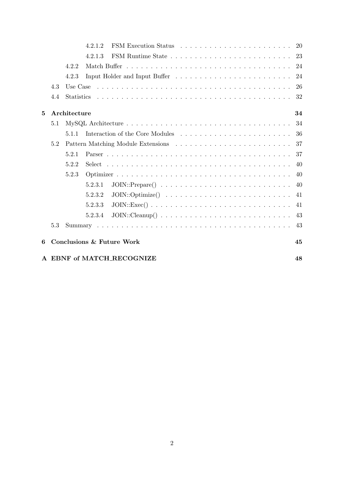|              |         |              | 4.2.1.2                                                                                                                 |     |
|--------------|---------|--------------|-------------------------------------------------------------------------------------------------------------------------|-----|
|              |         |              | 4.2.1.3                                                                                                                 |     |
|              |         | 4.2.2        |                                                                                                                         |     |
|              |         | 4.2.3        |                                                                                                                         |     |
|              | 4.3     | Use Case     |                                                                                                                         |     |
|              | 4.4     | Statistics   |                                                                                                                         |     |
| $\mathbf{5}$ |         | Architecture |                                                                                                                         | 34  |
|              | 5.1     |              |                                                                                                                         | 34  |
|              |         | 5.1.1        |                                                                                                                         | 36  |
|              | 5.2     |              |                                                                                                                         |     |
|              |         | 5.2.1        |                                                                                                                         | 37  |
|              |         | 5.2.2        |                                                                                                                         | 40  |
|              |         | 5.2.3        |                                                                                                                         | -40 |
|              |         |              | 5.2.3.1                                                                                                                 |     |
|              |         |              | $JOIN::Optimize() \dots \dots \dots \dots \dots \dots \dots \dots \dots \dots \dots \dots \dots \dots \dots$<br>5.2.3.2 |     |
|              |         |              | 5.2.3.3                                                                                                                 | 41  |
|              |         |              | 5.2.3.4                                                                                                                 |     |
|              | $5.3\,$ |              |                                                                                                                         |     |
| 6            |         |              | Conclusions & Future Work                                                                                               | 45  |
|              |         |              | A EBNF of MATCH_RECOGNIZE                                                                                               | 48  |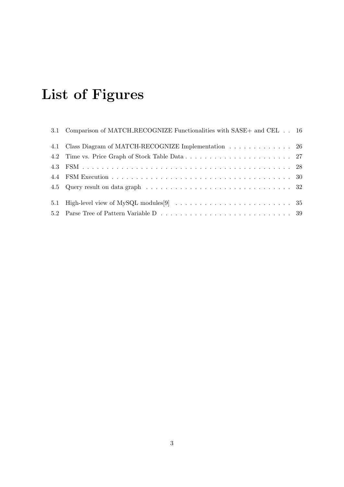# List of Figures

| 3.1 Comparison of MATCH_RECOGNIZE Functionalities with SASE+ and CEL 16 |  |
|-------------------------------------------------------------------------|--|
| 4.1 Class Diagram of MATCH-RECOGNIZE Implementation 26                  |  |
|                                                                         |  |
|                                                                         |  |
|                                                                         |  |
|                                                                         |  |
|                                                                         |  |
|                                                                         |  |
|                                                                         |  |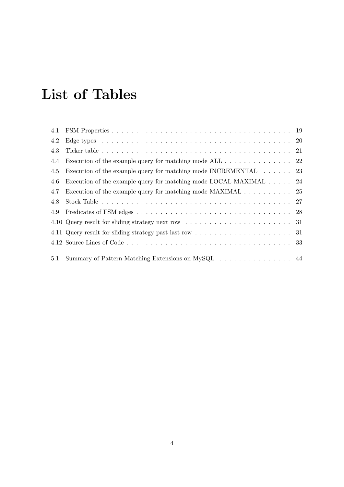# List of Tables

| 4.2 |                                                                                    |  |
|-----|------------------------------------------------------------------------------------|--|
| 4.3 |                                                                                    |  |
| 4.4 | Execution of the example query for matching mode ALL 22                            |  |
| 4.5 | Execution of the example query for matching mode INCREMENTAL $\dots \dots$ 23      |  |
| 4.6 | Execution of the example query for matching mode LOCAL MAXIMAL $\ldots$ 24         |  |
| 4.7 | Execution of the example query for matching mode MAXIMAL $\ldots \ldots \ldots$ 25 |  |
| 4.8 |                                                                                    |  |
|     |                                                                                    |  |
|     |                                                                                    |  |
|     |                                                                                    |  |
|     |                                                                                    |  |
| 5.1 | Summary of Pattern Matching Extensions on MySQL 44                                 |  |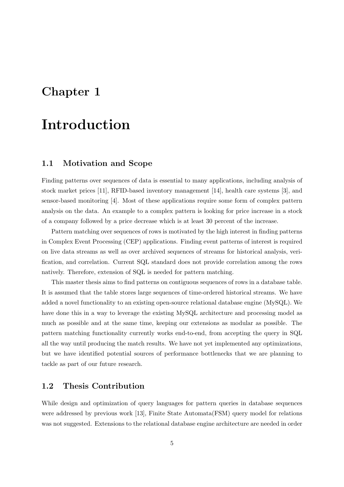## Chapter 1

## Introduction

### 1.1 Motivation and Scope

Finding patterns over sequences of data is essential to many applications, including analysis of stock market prices [11], RFID-based inventory management [14], health care systems [3], and sensor-based monitoring [4]. Most of these applications require some form of complex pattern analysis on the data. An example to a complex pattern is looking for price increase in a stock of a company followed by a price decrease which is at least 30 percent of the increase.

Pattern matching over sequences of rows is motivated by the high interest in finding patterns in Complex Event Processing (CEP) applications. Finding event patterns of interest is required on live data streams as well as over archived sequences of streams for historical analysis, verification, and correlation. Current SQL standard does not provide correlation among the rows natively. Therefore, extension of SQL is needed for pattern matching.

This master thesis aims to find patterns on contiguous sequences of rows in a database table. It is assumed that the table stores large sequences of time-ordered historical streams. We have added a novel functionality to an existing open-source relational database engine (MySQL). We have done this in a way to leverage the existing MySQL architecture and processing model as much as possible and at the same time, keeping our extensions as modular as possible. The pattern matching functionality currently works end-to-end, from accepting the query in SQL all the way until producing the match results. We have not yet implemented any optimizations, but we have identified potential sources of performance bottlenecks that we are planning to tackle as part of our future research.

### 1.2 Thesis Contribution

While design and optimization of query languages for pattern queries in database sequences were addressed by previous work [13], Finite State Automata(FSM) query model for relations was not suggested. Extensions to the relational database engine architecture are needed in order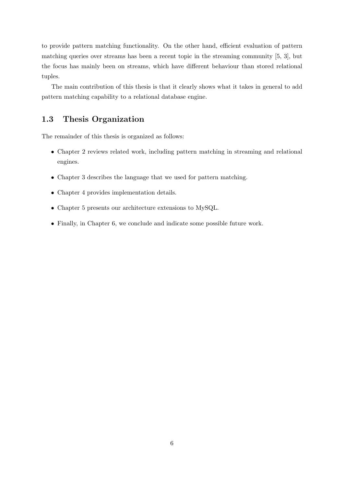to provide pattern matching functionality. On the other hand, efficient evaluation of pattern matching queries over streams has been a recent topic in the streaming community [5, 3], but the focus has mainly been on streams, which have different behaviour than stored relational tuples.

The main contribution of this thesis is that it clearly shows what it takes in general to add pattern matching capability to a relational database engine.

### 1.3 Thesis Organization

The remainder of this thesis is organized as follows:

- Chapter 2 reviews related work, including pattern matching in streaming and relational engines.
- Chapter 3 describes the language that we used for pattern matching.
- Chapter 4 provides implementation details.
- Chapter 5 presents our architecture extensions to MySQL.
- Finally, in Chapter 6, we conclude and indicate some possible future work.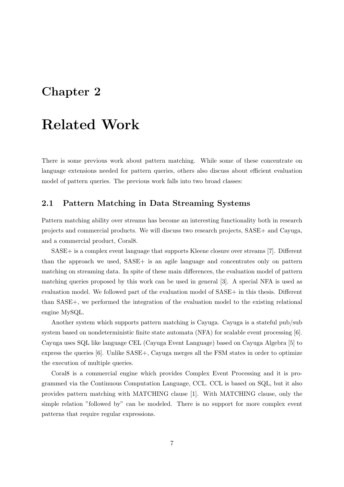## Chapter 2

## Related Work

There is some previous work about pattern matching. While some of these concentrate on language extensions needed for pattern queries, others also discuss about efficient evaluation model of pattern queries. The previous work falls into two broad classes:

### 2.1 Pattern Matching in Data Streaming Systems

Pattern matching ability over streams has become an interesting functionality both in research projects and commercial products. We will discuss two research projects, SASE+ and Cayuga, and a commercial product, Coral8.

SASE+ is a complex event language that supports Kleene closure over streams [7]. Different than the approach we used, SASE+ is an agile language and concentrates only on pattern matching on streaming data. In spite of these main differences, the evaluation model of pattern matching queries proposed by this work can be used in general [3]. A special NFA is used as evaluation model. We followed part of the evaluation model of SASE+ in this thesis. Different than SASE+, we performed the integration of the evaluation model to the existing relational engine MySQL.

Another system which supports pattern matching is Cayuga. Cayuga is a stateful pub/sub system based on nondeterministic finite state automata (NFA) for scalable event processing [6]. Cayuga uses SQL like language CEL (Cayuga Event Language) based on Cayuga Algebra [5] to express the queries [6]. Unlike SASE+, Cayuga merges all the FSM states in order to optimize the execution of multiple queries.

Coral8 is a commercial engine which provides Complex Event Processing and it is programmed via the Continuous Computation Language, CCL. CCL is based on SQL, but it also provides pattern matching with MATCHING clause [1]. With MATCHING clause, only the simple relation "followed by" can be modeled. There is no support for more complex event patterns that require regular expressions.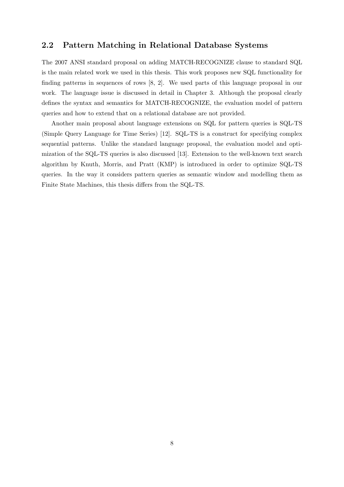### 2.2 Pattern Matching in Relational Database Systems

The 2007 ANSI standard proposal on adding MATCH-RECOGNIZE clause to standard SQL is the main related work we used in this thesis. This work proposes new SQL functionality for finding patterns in sequences of rows [8, 2]. We used parts of this language proposal in our work. The language issue is discussed in detail in Chapter 3. Although the proposal clearly defines the syntax and semantics for MATCH-RECOGNIZE, the evaluation model of pattern queries and how to extend that on a relational database are not provided.

Another main proposal about language extensions on SQL for pattern queries is SQL-TS (Simple Query Language for Time Series) [12]. SQL-TS is a construct for specifying complex sequential patterns. Unlike the standard language proposal, the evaluation model and optimization of the SQL-TS queries is also discussed [13]. Extension to the well-known text search algorithm by Knuth, Morris, and Pratt (KMP) is introduced in order to optimize SQL-TS queries. In the way it considers pattern queries as semantic window and modelling them as Finite State Machines, this thesis differs from the SQL-TS.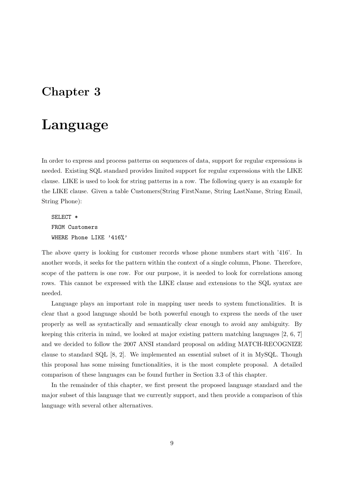## Chapter 3

## Language

In order to express and process patterns on sequences of data, support for regular expressions is needed. Existing SQL standard provides limited support for regular expressions with the LIKE clause. LIKE is used to look for string patterns in a row. The following query is an example for the LIKE clause. Given a table Customers(String FirstName, String LastName, String Email, String Phone):

SELECT \* FROM Customers WHERE Phone LIKE '416%'

The above query is looking for customer records whose phone numbers start with '416'. In another words, it seeks for the pattern within the context of a single column, Phone. Therefore, scope of the pattern is one row. For our purpose, it is needed to look for correlations among rows. This cannot be expressed with the LIKE clause and extensions to the SQL syntax are needed.

Language plays an important role in mapping user needs to system functionalities. It is clear that a good language should be both powerful enough to express the needs of the user properly as well as syntactically and semantically clear enough to avoid any ambiguity. By keeping this criteria in mind, we looked at major existing pattern matching languages [2, 6, 7] and we decided to follow the 2007 ANSI standard proposal on adding MATCH-RECOGNIZE clause to standard SQL [8, 2]. We implemented an essential subset of it in MySQL. Though this proposal has some missing functionalities, it is the most complete proposal. A detailed comparison of these languages can be found further in Section 3.3 of this chapter.

In the remainder of this chapter, we first present the proposed language standard and the major subset of this language that we currently support, and then provide a comparison of this language with several other alternatives.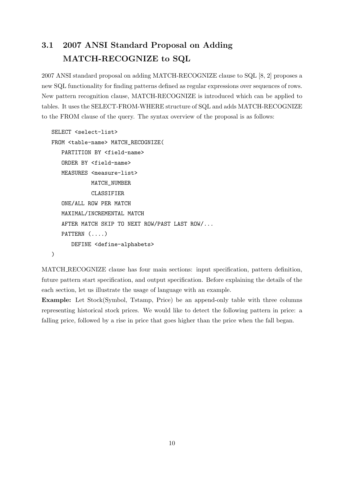## 3.1 2007 ANSI Standard Proposal on Adding MATCH-RECOGNIZE to SQL

2007 ANSI standard proposal on adding MATCH-RECOGNIZE clause to SQL [8, 2] proposes a new SQL functionality for finding patterns defined as regular expressions over sequences of rows. New pattern recognition clause, MATCH-RECOGNIZE is introduced which can be applied to tables. It uses the SELECT-FROM-WHERE structure of SQL and adds MATCH-RECOGNIZE to the FROM clause of the query. The syntax overview of the proposal is as follows:

```
SELECT <select-list>
FROM <table-name> MATCH_RECOGNIZE(
  PARTITION BY <field-name>
  ORDER BY <field-name>
  MEASURES <measure-list>
            MATCH_NUMBER
            CLASSIFIER
  ONE/ALL ROW PER MATCH
  MAXIMAL/INCREMENTAL MATCH
   AFTER MATCH SKIP TO NEXT ROW/PAST LAST ROW/...
  PATTERN (....)
      DEFINE <define-alphabets>
)
```
MATCH RECOGNIZE clause has four main sections: input specification, pattern definition, future pattern start specification, and output specification. Before explaining the details of the each section, let us illustrate the usage of language with an example.

Example: Let Stock(Symbol, Tstamp, Price) be an append-only table with three columns representing historical stock prices. We would like to detect the following pattern in price: a falling price, followed by a rise in price that goes higher than the price when the fall began.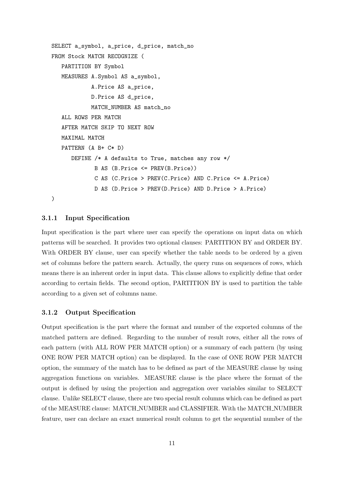```
SELECT a_symbol, a_price, d_price, match_no
FROM Stock MATCH RECOGNIZE (
  PARTITION BY Symbol
  MEASURES A.Symbol AS a_symbol,
            A.Price AS a_price,
            D.Price AS d_price,
            MATCH_NUMBER AS match_no
   ALL ROWS PER MATCH
   AFTER MATCH SKIP TO NEXT ROW
  MAXIMAL MATCH
  PATTERN (A B+ C* D)
      DEFINE /* A defaults to True, matches any row */
             B AS (B.Price <= PREV(B.Price))
             C AS (C.Price > PREV(C.Price) AND C.Price <= A.Price)
             D AS (D.Price > PREV(D.Price) AND D.Price > A.Price)
)
```
#### 3.1.1 Input Specification

Input specification is the part where user can specify the operations on input data on which patterns will be searched. It provides two optional clauses: PARTITION BY and ORDER BY. With ORDER BY clause, user can specify whether the table needs to be ordered by a given set of columns before the pattern search. Actually, the query runs on sequences of rows, which means there is an inherent order in input data. This clause allows to explicitly define that order according to certain fields. The second option, PARTITION BY is used to partition the table according to a given set of columns name.

#### 3.1.2 Output Specification

Output specification is the part where the format and number of the exported columns of the matched pattern are defined. Regarding to the number of result rows, either all the rows of each pattern (with ALL ROW PER MATCH option) or a summary of each pattern (by using ONE ROW PER MATCH option) can be displayed. In the case of ONE ROW PER MATCH option, the summary of the match has to be defined as part of the MEASURE clause by using aggregation functions on variables. MEASURE clause is the place where the format of the output is defined by using the projection and aggregation over variables similar to SELECT clause. Unlike SELECT clause, there are two special result columns which can be defined as part of the MEASURE clause: MATCH NUMBER and CLASSIFIER. With the MATCH NUMBER feature, user can declare an exact numerical result column to get the sequential number of the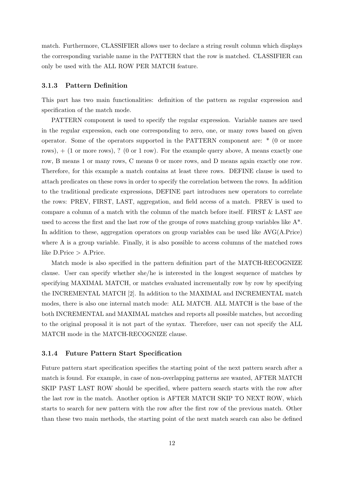match. Furthermore, CLASSIFIER allows user to declare a string result column which displays the corresponding variable name in the PATTERN that the row is matched. CLASSIFIER can only be used with the ALL ROW PER MATCH feature.

#### 3.1.3 Pattern Definition

This part has two main functionalities: definition of the pattern as regular expression and specification of the match mode.

PATTERN component is used to specify the regular expression. Variable names are used in the regular expression, each one corresponding to zero, one, or many rows based on given operator. Some of the operators supported in the PATTERN component are: \* (0 or more rows), + (1 or more rows), ? (0 or 1 row). For the example query above, A means exactly one row, B means 1 or many rows, C means 0 or more rows, and D means again exactly one row. Therefore, for this example a match contains at least three rows. DEFINE clause is used to attach predicates on these rows in order to specify the correlation between the rows. In addition to the traditional predicate expressions, DEFINE part introduces new operators to correlate the rows: PREV, FIRST, LAST, aggregation, and field access of a match. PREV is used to compare a column of a match with the column of the match before itself. FIRST & LAST are used to access the first and the last row of the groups of rows matching group variables like A\*. In addition to these, aggregation operators on group variables can be used like AVG(A.Price) where A is a group variable. Finally, it is also possible to access columns of the matched rows like  $D.P$ rice  $> A.P$ rice.

Match mode is also specified in the pattern definition part of the MATCH-RECOGNIZE clause. User can specify whether she/he is interested in the longest sequence of matches by specifying MAXIMAL MATCH, or matches evaluated incrementally row by row by specifying the INCREMENTAL MATCH [2]. In addition to the MAXIMAL and INCREMENTAL match modes, there is also one internal match mode: ALL MATCH. ALL MATCH is the base of the both INCREMENTAL and MAXIMAL matches and reports all possible matches, but according to the original proposal it is not part of the syntax. Therefore, user can not specify the ALL MATCH mode in the MATCH-RECOGNIZE clause.

#### 3.1.4 Future Pattern Start Specification

Future pattern start specification specifies the starting point of the next pattern search after a match is found. For example, in case of non-overlapping patterns are wanted, AFTER MATCH SKIP PAST LAST ROW should be specified, where pattern search starts with the row after the last row in the match. Another option is AFTER MATCH SKIP TO NEXT ROW, which starts to search for new pattern with the row after the first row of the previous match. Other than these two main methods, the starting point of the next match search can also be defined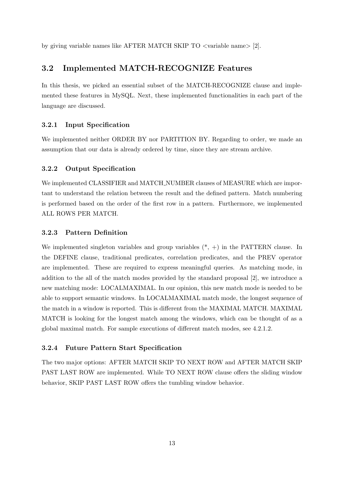by giving variable names like AFTER MATCH SKIP TO <variable name> [2].

### 3.2 Implemented MATCH-RECOGNIZE Features

In this thesis, we picked an essential subset of the MATCH-RECOGNIZE clause and implemented these features in MySQL. Next, these implemented functionalities in each part of the language are discussed.

### 3.2.1 Input Specification

We implemented neither ORDER BY nor PARTITION BY. Regarding to order, we made an assumption that our data is already ordered by time, since they are stream archive.

#### 3.2.2 Output Specification

We implemented CLASSIFIER and MATCH NUMBER clauses of MEASURE which are important to understand the relation between the result and the defined pattern. Match numbering is performed based on the order of the first row in a pattern. Furthermore, we implemented ALL ROWS PER MATCH.

#### 3.2.3 Pattern Definition

We implemented singleton variables and group variables  $(*, +)$  in the PATTERN clause. In the DEFINE clause, traditional predicates, correlation predicates, and the PREV operator are implemented. These are required to express meaningful queries. As matching mode, in addition to the all of the match modes provided by the standard proposal [2], we introduce a new matching mode: LOCALMAXIMAL. In our opinion, this new match mode is needed to be able to support semantic windows. In LOCALMAXIMAL match mode, the longest sequence of the match in a window is reported. This is different from the MAXIMAL MATCH. MAXIMAL MATCH is looking for the longest match among the windows, which can be thought of as a global maximal match. For sample executions of different match modes, see 4.2.1.2.

#### 3.2.4 Future Pattern Start Specification

The two major options: AFTER MATCH SKIP TO NEXT ROW and AFTER MATCH SKIP PAST LAST ROW are implemented. While TO NEXT ROW clause offers the sliding window behavior, SKIP PAST LAST ROW offers the tumbling window behavior.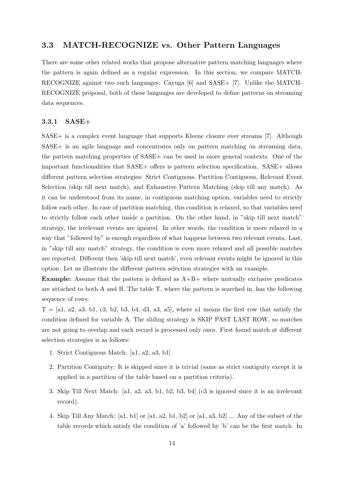### 3.3 MATCH-RECOGNIZE vs. Other Pattern Languages

There are some other related works that propose alternative pattern matching languages where the pattern is again defined as a regular expression. In this section, we compare MATCH-RECOGNIZE against two such languages: Cayuga [6] and SASE+ [7]. Unlike the MATCH-RECOGNIZE proposal, both of these languages are developed to define patterns on streaming data sequences.

#### 3.3.1 SASE+

SASE+ is a complex event language that supports Kleene closure over streams [7]. Although SASE+ is an agile language and concentrates only on pattern matching on streaming data, the pattern matching properties of SASE+ can be used in more general contexts. One of the important functionalities that SASE+ offers is pattern selection specification. SASE+ allows different pattern selection strategies: Strict Contiguous, Partition Contiguous, Relevant Event Selection (skip till next match), and Exhaustive Pattern Matching (skip till any match). As it can be understood from its name, in contiguous matching option, variables need to strictly follow each other. In case of partition matching, this condition is relaxed, so that variables need to strictly follow each other inside a partition. On the other hand, in "skip till next match" strategy, the irrelevant events are ignored. In other words, the condition is more relaxed in a way that "followed by" is enough regardless of what happens between two relevant events. Last, in "skip till any match" strategy, the condition is even more relaxed and all possible matches are reported. Different then 'skip till next match', even relevant events might be ignored in this option. Let us illustrate the different pattern selection strategies with an example.

**Example:** Assume that the pattern is defined as  $A+B+$  where mutually exclusive predicates are attached to both A and B. The table T, where the pattern is searched in, has the following sequence of rows:

 $T = [a1, a2, a3, b1, c3, b2, b3, b4, d3, a3, a5]$ , where al means the first row that satisfy the condition defined for variable A. The sliding strategy is SKIP PAST LAST ROW, so matches are not going to overlap and each record is processed only once. First found match at different selection strategies is as follows:

- 1. Strict Contiguous Match: [a1, a2, a3, b1]
- 2. Partition Contiguity: It is skipped since it is trivial (same as strict contiguity except it is applied in a partition of the table based on a partition criteria).
- 3. Skip Till Next Match: [a1, a2, a3, b1, b2, b3, b4] (c3 is ignored since it is an irrelevant record).
- 4. Skip Till Any Match: [a1, b1] or [a1, a2, b1, b2] or [a1, a3, b2] ... Any of the subset of the table records which satisfy the condition of 'a' followed by 'b' can be the first match. In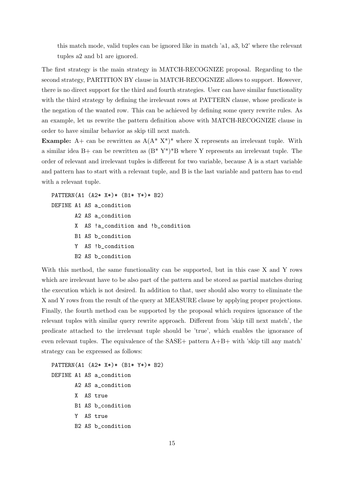this match mode, valid tuples can be ignored like in match 'a1, a3, b2' where the relevant tuples a2 and b1 are ignored.

The first strategy is the main strategy in MATCH-RECOGNIZE proposal. Regarding to the second strategy, PARTITION BY clause in MATCH-RECOGNIZE allows to support. However, there is no direct support for the third and fourth strategies. User can have similar functionality with the third strategy by defining the irrelevant rows at PATTERN clause, whose predicate is the negation of the wanted row. This can be achieved by defining some query rewrite rules. As an example, let us rewrite the pattern definition above with MATCH-RECOGNIZE clause in order to have similar behavior as skip till next match.

**Example:** A+ can be rewritten as  $A(A^* X^*)^*$  where X represents an irrelevant tuple. With a similar idea B+ can be rewritten as  $(B^* Y^*)^*B$  where Y represents an irrelevant tuple. The order of relevant and irrelevant tuples is different for two variable, because A is a start variable and pattern has to start with a relevant tuple, and B is the last variable and pattern has to end with a relevant tuple.

```
PATTERN(A1 (A2* X*)* (B1* Y*)* B2)
DEFINE A1 AS a_condition
       A2 AS a_condition
       X AS !a_condition and !b_condition
       B1 AS b_condition
       Y AS !b_condition
       B2 AS b_condition
```
With this method, the same functionality can be supported, but in this case X and Y rows which are irrelevant have to be also part of the pattern and be stored as partial matches during the execution which is not desired. In addition to that, user should also worry to eliminate the X and Y rows from the result of the query at MEASURE clause by applying proper projections. Finally, the fourth method can be supported by the proposal which requires ignorance of the relevant tuples with similar query rewrite approach. Different from 'skip till next match', the predicate attached to the irrelevant tuple should be 'true', which enables the ignorance of even relevant tuples. The equivalence of the  $SASE+$  pattern  $A+B+$  with 'skip till any match' strategy can be expressed as follows:

```
PATTERN(A1 (A2* X*)* (B1* Y*)* B2)
DEFINE A1 AS a_condition
       A2 AS a_condition
       X AS true
       B1 AS b_condition
       Y AS true
       B2 AS b_condition
```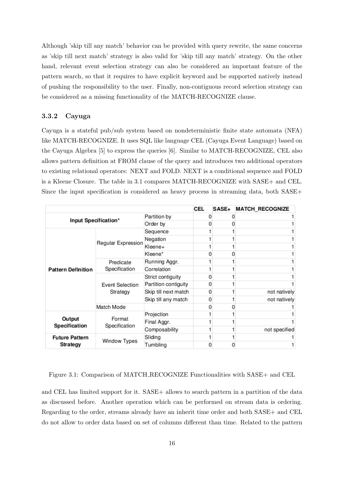Although 'skip till any match' behavior can be provided with query rewrite, the same concerns as 'skip till next match' strategy is also valid for 'skip till any match' strategy. On the other hand, relevant event selection strategy can also be considered an important feature of the pattern search, so that it requires to have explicit keyword and be supported natively instead of pushing the responsibility to the user. Finally, non-contiguous record selection strategy can be considered as a missing functionality of the MATCH-RECOGNIZE clause.

#### 3.3.2 Cayuga

Cayuga is a stateful pub/sub system based on nondeterministic finite state automata (NFA) like MATCH-RECOGNIZE. It uses SQL like language CEL (Cayuga Event Language) based on the Cayuga Algebra [5] to express the queries [6]. Similar to MATCH-RECOGNIZE, CEL also allows pattern definition at FROM clause of the query and introduces two additional operators to existing relational operators: NEXT and FOLD. NEXT is a conditional sequence and FOLD is a Kleene Closure. The table in 3.1 compares MATCH-RECOGNIZE with SASE+ and CEL. Since the input specification is considered as heavy process in streaming data, both SASE+

|                           |                                                           |                      | CEL | SASE+ | <b>MATCH_RECOGNIZE</b> |
|---------------------------|-----------------------------------------------------------|----------------------|-----|-------|------------------------|
| Input Specification*      | Partition by                                              |                      |     |       |                        |
|                           |                                                           | Order by             |     |       |                        |
|                           |                                                           | Sequence             |     |       |                        |
|                           | Regular Expression                                        | Negation             |     |       |                        |
|                           |                                                           | Kleene+              |     |       |                        |
|                           |                                                           | Kleene*              |     |       |                        |
|                           | Predicate<br>Specification<br>Event Selection<br>Strategy | Running Aggr.        |     |       |                        |
| <b>Pattern Definition</b> |                                                           | Correlation          |     |       |                        |
|                           |                                                           | Strict contiguity    |     |       |                        |
|                           |                                                           | Partition contiguity |     |       |                        |
|                           |                                                           | Skip till next match |     |       | not natively           |
|                           |                                                           | Skip till any match  |     |       | not natively           |
|                           | Match Mode                                                |                      |     |       |                        |
|                           |                                                           | Projection           |     |       |                        |
| Output<br>Specification   | Format<br>Specification                                   | Final Aggr.          |     |       |                        |
|                           |                                                           | Composability        |     |       | not specified          |
| <b>Future Pattern</b>     | Window Types                                              | Sliding              |     |       |                        |
| <b>Strategy</b>           |                                                           | Tumbling             |     |       |                        |

Figure 3.1: Comparison of MATCH RECOGNIZE Functionalities with SASE+ and CEL

and CEL has limited support for it. SASE+ allows to search pattern in a partition of the data as discussed before. Another operation which can be performed on stream data is ordering. Regarding to the order, streams already have an inherit time order and both SASE+ and CEL do not allow to order data based on set of columns different than time. Related to the pattern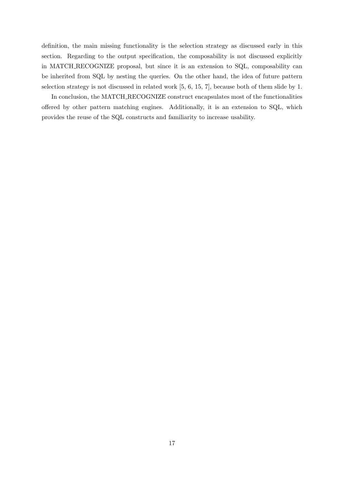definition, the main missing functionality is the selection strategy as discussed early in this section. Regarding to the output specification, the composability is not discussed explicitly in MATCH RECOGNIZE proposal, but since it is an extension to SQL, composability can be inherited from SQL by nesting the queries. On the other hand, the idea of future pattern selection strategy is not discussed in related work [5, 6, 15, 7], because both of them slide by 1.

In conclusion, the MATCH RECOGNIZE construct encapsulates most of the functionalities offered by other pattern matching engines. Additionally, it is an extension to SQL, which provides the reuse of the SQL constructs and familiarity to increase usability.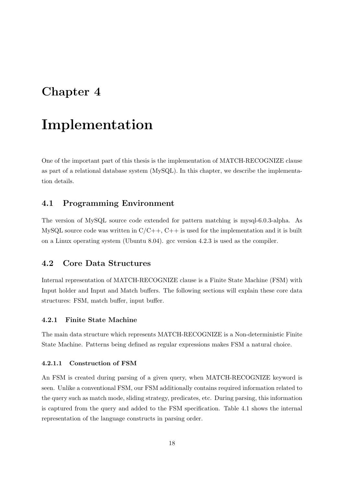## Chapter 4

## Implementation

One of the important part of this thesis is the implementation of MATCH-RECOGNIZE clause as part of a relational database system (MySQL). In this chapter, we describe the implementation details.

### 4.1 Programming Environment

The version of MySQL source code extended for pattern matching is mysql-6.0.3-alpha. As MySQL source code was written in  $C/C++$ ,  $C++$  is used for the implementation and it is built on a Linux operating system (Ubuntu 8.04). gcc version 4.2.3 is used as the compiler.

### 4.2 Core Data Structures

Internal representation of MATCH-RECOGNIZE clause is a Finite State Machine (FSM) with Input holder and Input and Match buffers. The following sections will explain these core data structures: FSM, match buffer, input buffer.

#### 4.2.1 Finite State Machine

The main data structure which represents MATCH-RECOGNIZE is a Non-deterministic Finite State Machine. Patterns being defined as regular expressions makes FSM a natural choice.

#### 4.2.1.1 Construction of FSM

An FSM is created during parsing of a given query, when MATCH-RECOGNIZE keyword is seen. Unlike a conventional FSM, our FSM additionally contains required information related to the query such as match mode, sliding strategy, predicates, etc. During parsing, this information is captured from the query and added to the FSM specification. Table 4.1 shows the internal representation of the language constructs in parsing order.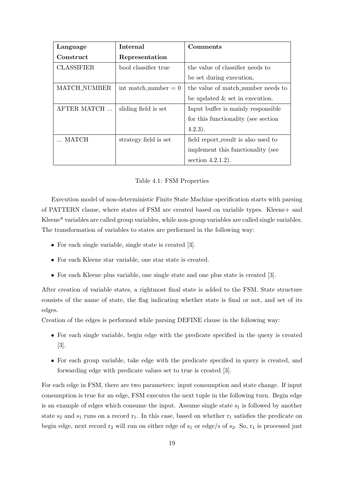| Language          | Internal               | Comments                             |  |
|-------------------|------------------------|--------------------------------------|--|
| Construct         | Representation         |                                      |  |
| <b>CLASSIFIER</b> | bool classifier true   | the value of classifier needs to     |  |
|                   |                        | be set during execution.             |  |
| MATCH_NUMBER      | int match number $= 0$ | the value of match number needs to   |  |
|                   |                        | be updated $\&$ set in execution.    |  |
| AFTER MATCH       | sliding field is set   | Input buffer is mainly responsible.  |  |
|                   |                        | for this functionality (see section) |  |
|                   |                        | (4.2.3).                             |  |
| MATCH             | strategy field is set  | field report_result is also used to  |  |
|                   |                        | implement this functionality (see    |  |
|                   |                        | section $4.2.1.2$ ).                 |  |

#### Table 4.1: FSM Properties

Execution model of non-deterministic Finite State Machine specification starts with parsing of PATTERN clause, where states of FSM are created based on variable types. Kleene+ and Kleene\* variables are called group variables, while non-group variables are called single variables. The transformation of variables to states are performed in the following way:

- For each single variable, single state is created [3].
- For each Kleene star variable, one star state is created.
- For each Kleene plus variable, one single state and one plus state is created [3].

After creation of variable states, a rightmost final state is added to the FSM. State structure consists of the name of state, the flag indicating whether state is final or not, and set of its edges.

Creation of the edges is performed while parsing DEFINE clause in the following way:

- For each single variable, begin edge with the predicate specified in the query is created [3].
- For each group variable, take edge with the predicate specified in query is created, and forwarding edge with predicate values set to true is created [3].

For each edge in FSM, there are two parameters: input consumption and state change. If input consumption is true for an edge, FSM executes the next tuple in the following turn. Begin edge is an example of edges which consume the input. Assume single state  $s_1$  is followed by another state  $s_2$  and  $s_1$  runs on a record  $r_1$ . In this case, based on whether  $r_1$  satisfies the predicate on begin edge, next record  $r_2$  will run on either edge of  $s_1$  or edge/s of  $s_2$ . So,  $r_1$  is processed just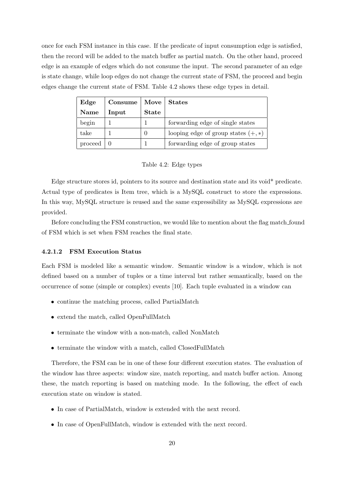once for each FSM instance in this case. If the predicate of input consumption edge is satisfied, then the record will be added to the match buffer as partial match. On the other hand, proceed edge is an example of edges which do not consume the input. The second parameter of an edge is state change, while loop edges do not change the current state of FSM, the proceed and begin edges change the current state of FSM. Table 4.2 shows these edge types in detail.

| Edge    | Consume |              | Move   States                         |
|---------|---------|--------------|---------------------------------------|
| Name    | Input   | <b>State</b> |                                       |
| begin   |         |              | forwarding edge of single states      |
| take    |         |              | looping edge of group states $(+, *)$ |
| proceed |         |              | forwarding edge of group states       |

#### Table 4.2: Edge types

Edge structure stores id, pointers to its source and destination state and its void\* predicate. Actual type of predicates is Item tree, which is a MySQL construct to store the expressions. In this way, MySQL structure is reused and the same expressibility as MySQL expressions are provided.

Before concluding the FSM construction, we would like to mention about the flag match found of FSM which is set when FSM reaches the final state.

#### 4.2.1.2 FSM Execution Status

Each FSM is modeled like a semantic window. Semantic window is a window, which is not defined based on a number of tuples or a time interval but rather semantically, based on the occurrence of some (simple or complex) events [10]. Each tuple evaluated in a window can

- continue the matching process, called PartialMatch
- extend the match, called OpenFullMatch
- terminate the window with a non-match, called NonMatch
- terminate the window with a match, called ClosedFullMatch

Therefore, the FSM can be in one of these four different execution states. The evaluation of the window has three aspects: window size, match reporting, and match buffer action. Among these, the match reporting is based on matching mode. In the following, the effect of each execution state on window is stated.

- In case of PartialMatch, window is extended with the next record.
- In case of OpenFullMatch, window is extended with the next record.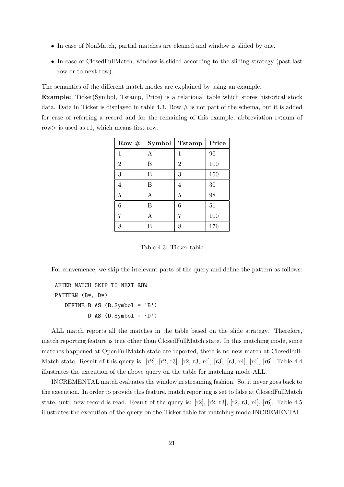- In case of NonMatch, partial matches are cleaned and window is slided by one.
- In case of ClosedFullMatch, window is slided according to the sliding strategy (past last row or to next row).

The semantics of the different match modes are explained by using an example.

Example: Ticker(Symbol, Tstamp, Price) is a relational table which stores historical stock data. Data in Ticker is displayed in table 4.3. Row  $\#$  is not part of the schema, but it is added for ease of referring a record and for the remaining of this example, abbreviation  $r$ <num of row> is used as r1, which means first row.

| Row $#$        | Symbol | <b>Tstamp</b>  | Price |
|----------------|--------|----------------|-------|
| 1              | A      | 1              | 90    |
| $\overline{2}$ | B      | $\overline{2}$ | 100   |
| 3              | B      | 3              | 150   |
| 4              | B      | 4              | 30    |
| 5              | А      | 5              | 98    |
| 6              | В      | 6              | 51    |
| 7              | A      | 7              | 100   |
| 8              |        | 8              | 176   |

Table 4.3: Ticker table

For convenience, we skip the irrelevant parts of the query and define the pattern as follows:

```
AFTER MATCH SKIP TO NEXT ROW
PATTERN (B*, D*)
   DEFINE B AS (B.Symbol = 'B')D AS (D.Symbol = 'D')
```
ALL match reports all the matches in the table based on the slide strategy. Therefore, match reporting feature is true other than ClosedFullMatch state. In this matching mode, since matches happened at OpenFullMatch state are reported, there is no new match at ClosedFull-Match state. Result of this query is:  $[r2]$ ,  $[r2, r3]$ ,  $[r2, r3, r4]$ ,  $[r3]$ ,  $[r3, r4]$ ,  $[r4]$ ,  $[r6]$ . Table 4.4 illustrates the execution of the above query on the table for matching mode ALL.

INCREMENTAL match evaluates the window in streaming fashion. So, it never goes back to the execution. In order to provide this feature, match reporting is set to false at ClosedFullMatch state, until new record is read. Result of the query is:  $[r2]$ ,  $[r2, r3]$ ,  $[r3, r3, r4]$ ,  $[r6]$ . Table 4.5 illustrates the execution of the query on the Ticker table for matching mode INCREMENTAL.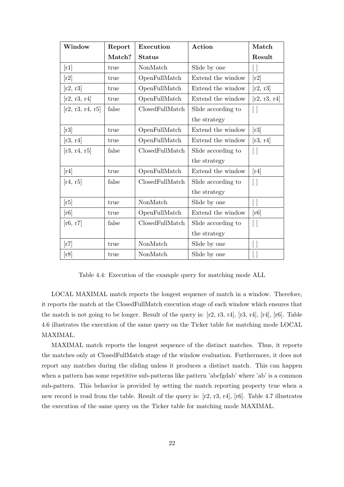| Window                     | Report | <b>Execution</b> | Action             | Match                      |
|----------------------------|--------|------------------|--------------------|----------------------------|
|                            | Match? | <b>Status</b>    |                    | Result                     |
| [r1]                       | true   | NonMatch         | Slide by one       | $\lceil \ \rceil$          |
| [r2]                       | true   | OpenFullMatch    | Extend the window  | [r2]                       |
| [r2, r3]                   | true   | OpenFullMatch    | Extend the window  | [r2, r3]                   |
| [r2, r3, r4]               | true   | OpenFullMatch    | Extend the window  | [r2, r3, r4]               |
| [r2, r3, r4, r5]           | false  | ClosedFullMatch  | Slide according to | $[\ ]$                     |
|                            |        |                  | the strategy       |                            |
| [r3]                       | true   | OpenFullMatch    | Extend the window  | [r3]                       |
| [r3, r4]                   | true   | OpenFullMatch    | Extend the window  | [r3, r4]                   |
| [r3, r4, r5]               | false  | ClosedFullMatch  | Slide according to | $[ \ ]$                    |
|                            |        |                  | the strategy       |                            |
| [r4]                       | true   | OpenFullMatch    | Extend the window  | [r4]                       |
| [r4, r5]                   | false  | ClosedFullMatch  | Slide according to | $[ \ ]$                    |
|                            |        |                  | the strategy       |                            |
| [r5]                       | true   | NonMatch         | Slide by one       | $[\ ]$                     |
| $\lceil r6 \rceil$         | true   | OpenFullMatch    | Extend the window  | $\left[ \text{r6} \right]$ |
| [r6, r7]                   | false  | ClosedFullMatch  | Slide according to | $[ \ ]$                    |
|                            |        |                  | the strategy       |                            |
| $\lceil r7 \rceil$         | true   | NonMatch         | Slide by one       | $[\ ]$                     |
| $\left[\mathrm{r}8\right]$ | true   | NonMatch         | Slide by one       | [ ]                        |

Table 4.4: Execution of the example query for matching mode ALL

LOCAL MAXIMAL match reports the longest sequence of match in a window. Therefore, it reports the match at the ClosedFullMatch execution stage of each window which ensures that the match is not going to be longer. Result of the query is: [r2, r3, r4], [r3, r4], [r4], [r6]. Table 4.6 illustrates the execution of the same query on the Ticker table for matching mode LOCAL MAXIMAL.

MAXIMAL match reports the longest sequence of the distinct matches. Thus, it reports the matches only at ClosedFullMatch stage of the window evaluation. Furthermore, it does not report any matches during the sliding unless it produces a distinct match. This can happen when a pattern has some repetitive sub-patterns like pattern 'abcfgdab' where 'ab' is a common sub-pattern. This behavior is provided by setting the match reporting property true when a new record is read from the table. Result of the query is: [r2, r3, r4], [r6]. Table 4.7 illustrates the execution of the same query on the Ticker table for matching mode MAXIMAL.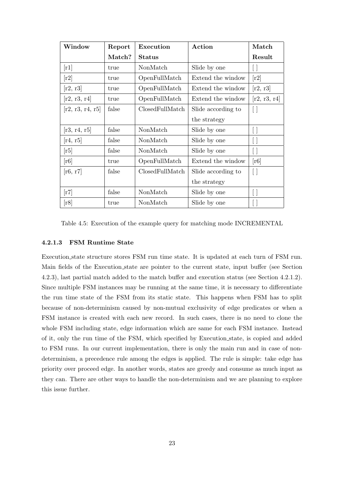| Window                     | Report | Execution       | Action             | Match                      |
|----------------------------|--------|-----------------|--------------------|----------------------------|
|                            | Match? | <b>Status</b>   |                    | Result                     |
| $\vert$ r $1 \vert$        | true   | NonMatch        | Slide by one       | U                          |
| [r2]                       | true   | OpenFullMatch   | Extend the window  | $\left[\mathrm{r}2\right]$ |
| [r2, r3]                   | true   | OpenFullMatch   | Extend the window  | [r2, r3]                   |
| [r2, r3, r4]               | true   | OpenFullMatch   | Extend the window  | [r2, r3, r4]               |
| [r2, r3, r4, r5]           | false  | ClosedFullMatch | Slide according to | Π                          |
|                            |        |                 | the strategy       |                            |
| [r3, r4, r5]               | false  | NonMatch        | Slide by one       | $[\ ]$                     |
| [r4, r5]                   | false  | NonMatch        | Slide by one       | Ħ                          |
| [r5]                       | false  | NonMatch        | Slide by one       | $[\;]$                     |
| [r6]                       | true   | OpenFullMatch   | Extend the window  | [r6]                       |
| [r6, r7]                   | false  | ClosedFullMatch | Slide according to | $\Box$                     |
|                            |        |                 | the strategy       |                            |
| $\lceil r7 \rceil$         | false  | NonMatch        | Slide by one       | $\Box$                     |
| $\left[\mathrm{r}8\right]$ | true   | NonMatch        | Slide by one       | Π                          |

Table 4.5: Execution of the example query for matching mode INCREMENTAL

#### 4.2.1.3 FSM Runtime State

Execution state structure stores FSM run time state. It is updated at each turn of FSM run. Main fields of the Execution state are pointer to the current state, input buffer (see Section 4.2.3), last partial match added to the match buffer and execution status (see Section 4.2.1.2). Since multiple FSM instances may be running at the same time, it is necessary to differentiate the run time state of the FSM from its static state. This happens when FSM has to split because of non-determinism caused by non-mutual exclusivity of edge predicates or when a FSM instance is created with each new record. In such cases, there is no need to clone the whole FSM including state, edge information which are same for each FSM instance. Instead of it, only the run time of the FSM, which specified by Execution state, is copied and added to FSM runs. In our current implementation, there is only the main run and in case of nondeterminism, a precedence rule among the edges is applied. The rule is simple: take edge has priority over proceed edge. In another words, states are greedy and consume as much input as they can. There are other ways to handle the non-determinism and we are planning to explore this issue further.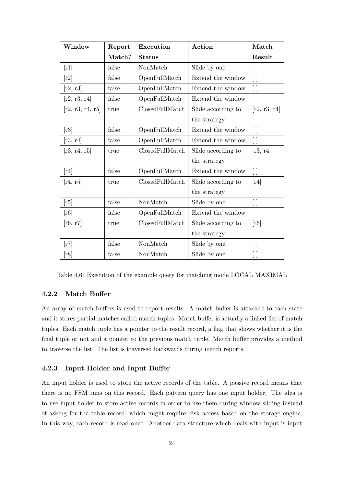| Window                     | Report | <b>Execution</b> | Action             | Match                      |
|----------------------------|--------|------------------|--------------------|----------------------------|
|                            | Match? | <b>Status</b>    |                    | Result                     |
| $\lceil r1 \rceil$         | false  | NonMatch         | Slide by one       | $[\;]$                     |
| $\lceil r2 \rceil$         | false  | OpenFullMatch    | Extend the window  | $[\;]$                     |
| [r2, r3]                   | false  | OpenFullMatch    | Extend the window  | $[\ ]$                     |
| [r2, r3, r4]               | false  | OpenFullMatch    | Extend the window  | $\lceil \ \rceil$          |
| [r2, r3, r4, r5]           | true   | ClosedFullMatch  | Slide according to | [r2, r3, r4]               |
|                            |        |                  | the strategy       |                            |
| [r3]                       | false  | OpenFullMatch    | Extend the window  | $[\ ]$                     |
| [r3, r4]                   | false  | OpenFullMatch    | Extend the window  | $\left[ \ \right]$         |
| [r3, r4, r5]               | true   | ClosedFullMatch  | Slide according to | [r3, r4]                   |
|                            |        |                  | the strategy       |                            |
| $\lceil r4 \rceil$         | false  | OpenFullMatch    | Extend the window  | $[\ ]$                     |
| [r4, r5]                   | true   | ClosedFullMatch  | Slide according to | $\lceil r4 \rceil$         |
|                            |        |                  | the strategy       |                            |
| [r5]                       | false  | NonMatch         | Slide by one       | $[\ ]$                     |
| $\left[\mathrm{r}6\right]$ | false  | OpenFullMatch    | Extend the window  | $\lceil \ \rceil$          |
| [r6, r7]                   | true   | ClosedFullMatch  | Slide according to | $\left[\mathrm{r}6\right]$ |
|                            |        |                  | the strategy       |                            |
| $\lceil r7 \rceil$         | false  | NonMatch         | Slide by one       | $[\;]$                     |
| $\left[\mathrm{r}8\right]$ | false  | NonMatch         | Slide by one       | $\Box$                     |

Table 4.6: Execution of the example query for matching mode LOCAL MAXIMAL

#### 4.2.2 Match Buffer

An array of match buffers is used to report results. A match buffer is attached to each state and it stores partial matches called match tuples. Match buffer is actually a linked list of match tuples. Each match tuple has a pointer to the result record, a flag that shows whether it is the final tuple or not and a pointer to the previous match tuple. Match buffer provides a method to traverse the list. The list is traversed backwards during match reports.

#### 4.2.3 Input Holder and Input Buffer

An input holder is used to store the active records of the table. A passive record means that there is no FSM runs on this record. Each pattern query has one input holder. The idea is to use input holder to store active records in order to use them during window sliding instead of asking for the table record, which might require disk access based on the storage engine. In this way, each record is read once. Another data structure which deals with input is input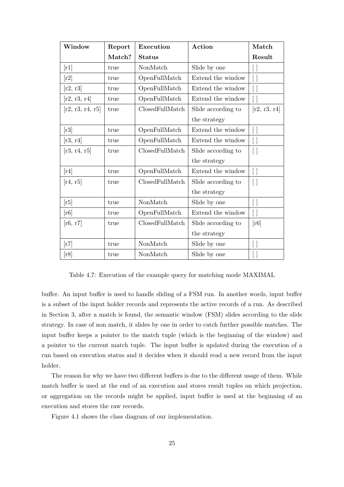| Window                     | Report | <b>Execution</b> | Action             | Match           |
|----------------------------|--------|------------------|--------------------|-----------------|
|                            | Match? | <b>Status</b>    |                    | Result          |
| [r1]                       | true   | NonMatch         | Slide by one       | ┃ ┃             |
| [r2]                       | true   | OpenFullMatch    | Extend the window  | $[\;]$          |
| [r2, r3]                   | true   | OpenFullMatch    | Extend the window  | $[\;]$          |
| [r2, r3, r4]               | true   | OpenFullMatch    | Extend the window  | [ ]             |
| [r2, r3, r4, r5]           | true   | ClosedFullMatch  | Slide according to | [r2, r3, r4]    |
|                            |        |                  | the strategy       |                 |
| [r3]                       | true   | OpenFullMatch    | Extend the window  | $[ \ ]$         |
| [r3, r4]                   | true   | OpenFullMatch    | Extend the window  | $[\;]$          |
| [r3, r4, r5]               | true   | ClosedFullMatch  | Slide according to | $[ \ ]$         |
|                            |        |                  | the strategy       |                 |
| $\lceil r4 \rceil$         | true   | OpenFullMatch    | Extend the window  | $[ \ ]$         |
| [r4, r5]                   | true   | ClosedFullMatch  | Slide according to | $[ \ ]$         |
|                            |        |                  | the strategy       |                 |
| [r5]                       | true   | NonMatch         | Slide by one       | $[\;]$          |
| [r6]                       | true   | OpenFullMatch    | Extend the window  | $[\;]$          |
| [r6, r7]                   | true   | ClosedFullMatch  | Slide according to | [r6]            |
|                            |        |                  | the strategy       |                 |
| $\lceil r7 \rceil$         | true   | NonMatch         | Slide by one       | $[\;]$          |
| $\left[\mathrm{r}8\right]$ | true   | NonMatch         | Slide by one       | $\vert \ \vert$ |

Table 4.7: Execution of the example query for matching mode MAXIMAL

buffer. An input buffer is used to handle sliding of a FSM run. In another words, input buffer is a subset of the input holder records and represents the active records of a run. As described in Section 3, after a match is found, the semantic window (FSM) slides according to the slide strategy. In case of non match, it slides by one in order to catch further possible matches. The input buffer keeps a pointer to the match tuple (which is the beginning of the window) and a pointer to the current match tuple. The input buffer is updated during the execution of a run based on execution status and it decides when it should read a new record from the input holder.

The reason for why we have two different buffers is due to the different usage of them. While match buffer is used at the end of an execution and stores result tuples on which projection, or aggregation on the records might be applied, input buffer is used at the beginning of an execution and stores the raw records.

Figure 4.1 shows the class diagram of our implementation.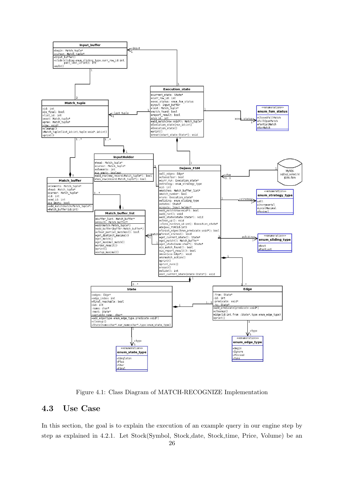

Figure 4.1: Class Diagram of MATCH-RECOGNIZE Implementation

## 4.3 Use Case

In this section, the goal is to explain the execution of an example query in our engine step by step as explained in 4.2.1. Let Stock(Symbol, Stock date, Stock time, Price, Volume) be an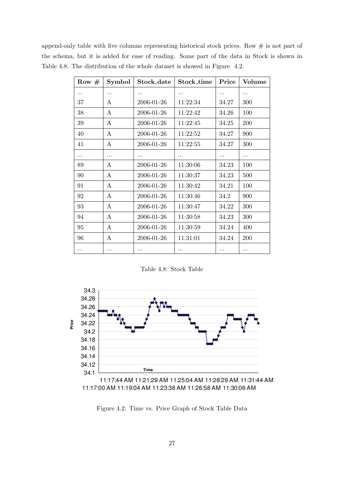append-only table with five columns representing historical stock prices. Row  $\#$  is not part of the schema, but it is added for ease of reading. Some part of the data in Stock is shown in Table 4.8. The distribution of the whole dataset is showed in Figure 4.2.

| Row $#$ | Symbol   | Stock_date | Stock_time | Price | Volume   |
|---------|----------|------------|------------|-------|----------|
|         |          | .          | .          | .     | .        |
| 37      | A        | 2006-01-26 | 11:22:34   | 34.27 | 300      |
| 38      | A        | 2006-01-26 | 11:22:42   | 34.26 | 100      |
| 39      | Α        | 2006-01-26 | 11:22:45   | 34.25 | 200      |
| 40      | A        | 2006-01-26 | 11:22:52   | 34.27 | 900      |
| 41      | A        | 2006-01-26 | 11:22:55   | 34.27 | 300      |
| .       |          | .          |            | .     | .        |
| 89      | A        | 2006-01-26 | 11:30:06   | 34.23 | 100      |
| 90      | A        | 2006-01-26 | 11:30:37   | 34.23 | 500      |
| 91      | A        | 2006-01-26 | 11:30:42   | 34.21 | 100      |
| 92      | Α        | 2006-01-26 | 11:30:46   | 34.2  | 900      |
| 93      | A        | 2006-01-26 | 11:30:47   | 34.22 | 300      |
| 94      | A        | 2006-01-26 | 11:30:58   | 34.23 | 300      |
| 95      | A        | 2006-01-26 | 11:30:59   | 34.24 | 400      |
| 96      | A        | 2006-01-26 | 11:31:01   | 34.24 | 200      |
|         | $\cdots$ | .          | .          | .     | $\cdots$ |

Table 4.8: Stock Table



Figure 4.2: Time vs. Price Graph of Stock Table Data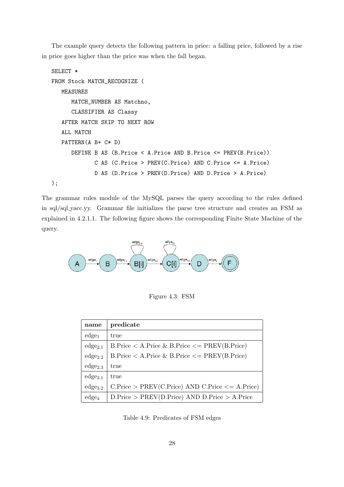The example query detects the following pattern in price: a falling price, followed by a rise in price goes higher than the price was when the fall began.

```
SELECT *
FROM Stock MATCH_RECOGNIZE (
  MEASURES
      MATCH_NUMBER AS Matchno,
      CLASSIFIER AS Classy
  AFTER MATCH SKIP TO NEXT ROW
  ALL MATCH
  PATTERN(A B+ C* D)
      DEFINE B AS (B.Price < A.Price AND B.Price <= PREV(B.Price))
             C AS (C.Price > PREV(C.Price) AND C.Price <= A.Price)
             D AS (D.Price > PREV(D.Price) AND D.Price > A.Price)
);
```
The grammar rules module of the MySQL parses the query according to the rules defined in sql/sql yacc.yy. Grammar file initializes the parse tree structure and creates an FSM as explained in 4.2.1.1. The following figure shows the corresponding Finite State Machine of the query.



Figure 4.3: FSM

| name              | predicate                                          |
|-------------------|----------------------------------------------------|
| $edge_{1}$        | true                                               |
| $edge_{2.1}$      | $B.Price < A.Price \& B.Price < = PREV(B.Price)$   |
| $edge_{2.2}$      | $B.Price < A.Price \& B.Price < PREV(B.Price)$     |
| $edge_{2.3}$      | true                                               |
| $edge_{3.1}$      | true                                               |
| $edge_{3.2}$      | $C.Price > PREV(C.Price) AND C.Price \leq A.Price$ |
| edge <sub>4</sub> | $D.Price > PREV(D.Price) AND D.Price > A.Price$    |

Table 4.9: Predicates of FSM edges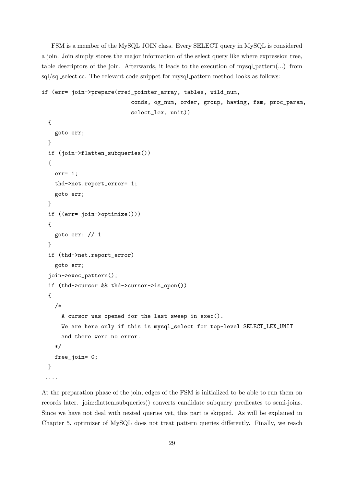FSM is a member of the MySQL JOIN class. Every SELECT query in MySQL is considered a join. Join simply stores the major information of the select query like where expression tree, table descriptors of the join. Afterwards, it leads to the execution of mysql pattern(...) from sql/sql\_select.cc. The relevant code snippet for mysql\_pattern method looks as follows:

```
if (err= join->prepare(rref_pointer_array, tables, wild_num,
                            conds, og_num, order, group, having, fsm, proc_param,
                            select_lex, unit))
  {
    goto err;
  }
  if (join->flatten_subqueries())
  {
    err= 1;
    thd->net.report_error= 1;
    goto err;
  }
  if ((err= join->optimize()))
  {
    goto err; // 1
  }
  if (thd->net.report_error)
    goto err;
  join->exec_pattern();
  if (thd->cursor && thd->cursor->is_open())
  {
    /*
      A cursor was opened for the last sweep in exec().
      We are here only if this is mysql_select for top-level SELECT_LEX_UNIT
      and there were no error.
    */
    free_join= 0;
  }
 ....
```
At the preparation phase of the join, edges of the FSM is initialized to be able to run them on records later. join::flatten subqueries() converts candidate subquery predicates to semi-joins. Since we have not deal with nested queries yet, this part is skipped. As will be explained in Chapter 5, optimizer of MySQL does not treat pattern queries differently. Finally, we reach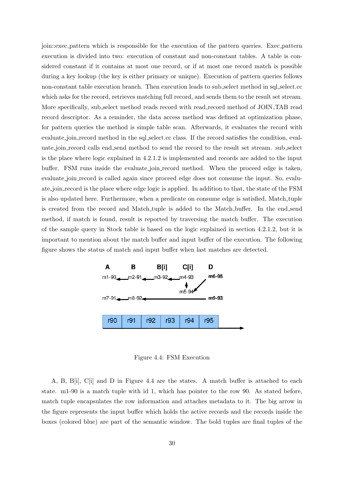join::exec pattern which is responsible for the execution of the pattern queries. Exec pattern execution is divided into two: execution of constant and non-constant tables. A table is considered constant if it contains at most one record, or if at most one record match is possible during a key lookup (the key is either primary or unique). Execution of pattern queries follows non-constant table execution branch. Then execution leads to sub select method in sql select.cc which asks for the record, retrieves matching full record, and sends them to the result set stream. More specifically, sub select method reads record with read record method of JOIN TAB read record descriptor. As a reminder, the data access method was defined at optimization phase, for pattern queries the method is simple table scan. Afterwards, it evaluates the record with evaluate join record method in the sql select.cc class. If the record satisfies the condition, evaluate join record calls end send method to send the record to the result set stream. sub select is the place where logic explained in 4.2.1.2 is implemented and records are added to the input buffer. FSM runs inside the evaluate join record method. When the proceed edge is taken, evaluate join record is called again since proceed edge does not consume the input. So, evaluate join record is the place where edge logic is applied. In addition to that, the state of the FSM is also updated here. Furthermore, when a predicate on consume edge is satisfied, Match tuple is created from the record and Match tuple is added to the Match buffer. In the end send method, if match is found, result is reported by traversing the match buffer. The execution of the sample query in Stock table is based on the logic explained in section 4.2.1.2, but it is important to mention about the match buffer and input buffer of the execution. The following figure shows the status of match and input buffer when last matches are detected.



Figure 4.4: FSM Execution

A, B, B[i], C[i] and D in Figure 4.4 are the states. A match buffer is attached to each state. m1-90 is a match tuple with id 1, which has pointer to the row 90. As stated before, match tuple encapsulates the row information and attaches metadata to it. The big arrow in the figure represents the input buffer which holds the active records and the records inside the boxes (colored blue) are part of the semantic window. The bold tuples are final tuples of the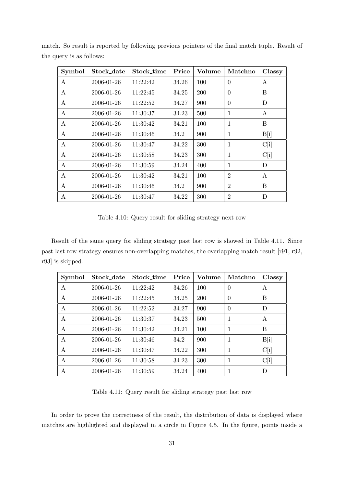| Symbol       | Stock_date | Stock_time | Price | Volume | Matchno        | Classy           |
|--------------|------------|------------|-------|--------|----------------|------------------|
| A            | 2006-01-26 | 11:22:42   | 34.26 | 100    | $\Omega$       | A                |
| A            | 2006-01-26 | 11:22:45   | 34.25 | 200    | $\theta$       | B                |
| A            | 2006-01-26 | 11:22:52   | 34.27 | 900    | $\theta$       | $\mathbf D$      |
| A            | 2006-01-26 | 11:30:37   | 34.23 | 500    | 1              | A                |
| $\mathbf{A}$ | 2006-01-26 | 11:30:42   | 34.21 | 100    | $\mathbf{1}$   | B                |
| A            | 2006-01-26 | 11:30:46   | 34.2  | 900    | 1              | B[i]             |
| A            | 2006-01-26 | 11:30:47   | 34.22 | 300    | 1              | C[i]             |
| A            | 2006-01-26 | 11:30:58   | 34.23 | 300    | 1              | C[i]             |
| A            | 2006-01-26 | 11:30:59   | 34.24 | 400    | 1              | D                |
| A            | 2006-01-26 | 11:30:42   | 34.21 | 100    | $\overline{2}$ | $\boldsymbol{A}$ |
| A            | 2006-01-26 | 11:30:46   | 34.2  | 900    | $\overline{2}$ | B                |
| A            | 2006-01-26 | 11:30:47   | 34.22 | 300    | $\overline{2}$ | D                |

match. So result is reported by following previous pointers of the final match tuple. Result of the query is as follows:

Table 4.10: Query result for sliding strategy next row

Result of the same query for sliding strategy past last row is showed in Table 4.11. Since past last row strategy ensures non-overlapping matches, the overlapping match result [r91, r92, r93] is skipped.

| <b>Symbol</b> | Stock_date | Stock time | Price | Volume | Matchno        | Classy |
|---------------|------------|------------|-------|--------|----------------|--------|
| A             | 2006-01-26 | 11:22:42   | 34.26 | 100    | $\theta$       | A      |
| A             | 2006-01-26 | 11:22:45   | 34.25 | 200    | $\overline{0}$ | B      |
| A             | 2006-01-26 | 11:22:52   | 34.27 | 900    | $\theta$       | D      |
| A             | 2006-01-26 | 11:30:37   | 34.23 | 500    | 1              | A      |
| A             | 2006-01-26 | 11:30:42   | 34.21 | 100    | 1              | B      |
| A             | 2006-01-26 | 11:30:46   | 34.2  | 900    | 1              | B[i]   |
| А             | 2006-01-26 | 11:30:47   | 34.22 | 300    | 1              | C[i]   |
| А             | 2006-01-26 | 11:30:58   | 34.23 | 300    | 1              | C[i]   |
| A             | 2006-01-26 | 11:30:59   | 34.24 | 400    | 1              | D      |

Table 4.11: Query result for sliding strategy past last row

In order to prove the correctness of the result, the distribution of data is displayed where matches are highlighted and displayed in a circle in Figure 4.5. In the figure, points inside a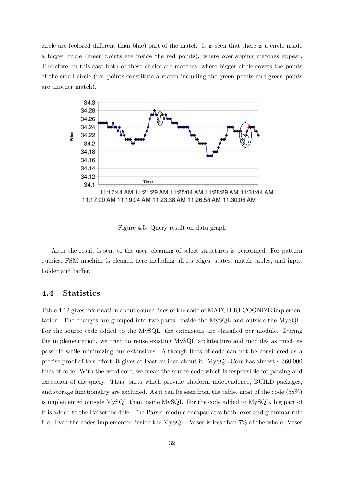circle are (colored different than blue) part of the match. It is seen that there is a circle inside a bigger circle (green points are inside the red points), where overlapping matches appear. Therefore, in this case both of these circles are matches, where bigger circle covers the points of the small circle (red points constitute a match including the green points and green points are another match).



Figure 4.5: Query result on data graph

After the result is sent to the user, cleaning of select structures is performed. For pattern queries, FSM machine is cleaned here including all its edges, states, match tuples, and input holder and buffer.

### 4.4 Statistics

Table 4.12 gives information about source lines of the code of MATCH-RECOGNIZE implementation. The changes are grouped into two parts: inside the MySQL and outside the MySQL. For the source code added to the MySQL, the extensions are classified per module. During the implementation, we tried to reuse existing MySQL architecture and modules as much as possible while minimizing our extensions. Although lines of code can not be considered as a precise proof of this effort, it gives at least an idea about it. MySQL Core has almost ∼360,000 lines of code. With the word core, we mean the source code which is responsible for parsing and execution of the query. Thus, parts which provide platform independence, BUILD packages, and storage functionality are excluded. As it can be seen from the table, most of the code (58%) is implemented outside MySQL than inside MySQL. For the code added to MySQL, big part of it is added to the Parser module. The Parser module encapsulates both lexer and grammar rule file. Even the codes implemented inside the MySQL Parser is less than 7% of the whole Parser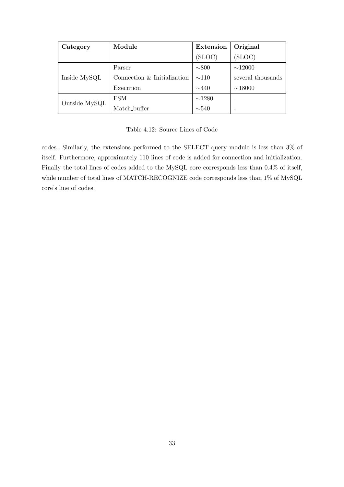| Category      | Module                      | <b>Extension</b> | Original          |
|---------------|-----------------------------|------------------|-------------------|
|               |                             | (SLOC)           | (SLOC)            |
|               | Parser                      | $\sim 800$       | $\sim$ 12000      |
| Inside MySQL  | Connection & Initialization | $\sim$ 110       | several thousands |
|               | Execution                   | $\sim$ 440       | $\sim$ 18000      |
| Outside MySQL | <b>FSM</b>                  | $\sim$ 1280      | -                 |
|               | Match_buffer                | $\sim$ 540       |                   |

Table 4.12: Source Lines of Code

codes. Similarly, the extensions performed to the SELECT query module is less than 3% of itself. Furthermore, approximately 110 lines of code is added for connection and initialization. Finally the total lines of codes added to the MySQL core corresponds less than 0.4% of itself, while number of total lines of MATCH-RECOGNIZE code corresponds less than 1% of MySQL core's line of codes.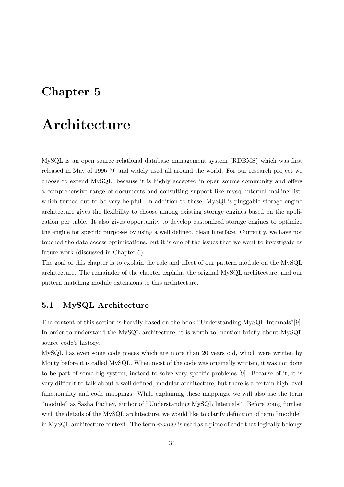## Chapter 5

## Architecture

MySQL is an open source relational database management system (RDBMS) which was first released in May of 1996 [9] and widely used all around the world. For our research project we choose to extend MySQL, because it is highly accepted in open source community and offers a comprehensive range of documents and consulting support like mysql internal mailing list, which turned out to be very helpful. In addition to these,  $MvSQL's$  pluggable storage engine architecture gives the flexibility to choose among existing storage engines based on the application per table. It also gives opportunity to develop customized storage engines to optimize the engine for specific purposes by using a well defined, clean interface. Currently, we have not touched the data access optimizations, but it is one of the issues that we want to investigate as future work (discussed in Chapter 6).

The goal of this chapter is to explain the role and effect of our pattern module on the MySQL architecture. The remainder of the chapter explains the original MySQL architecture, and our pattern matching module extensions to this architecture.

## 5.1 MySQL Architecture

The content of this section is heavily based on the book "Understanding MySQL Internals"[9]. In order to understand the MySQL architecture, it is worth to mention briefly about MySQL source code's history.

MySQL has even some code pieces which are more than 20 years old, which were written by Monty before it is called MySQL. When most of the code was originally written, it was not done to be part of some big system, instead to solve very specific problems [9]. Because of it, it is very difficult to talk about a well defined, modular architecture, but there is a certain high level functionality and code mappings. While explaining these mappings, we will also use the term "module" as Sasha Pachev, author of "Understanding MySQL Internals". Before going further with the details of the MySQL architecture, we would like to clarify definition of term "module" in MySQL architecture context. The term module is used as a piece of code that logically belongs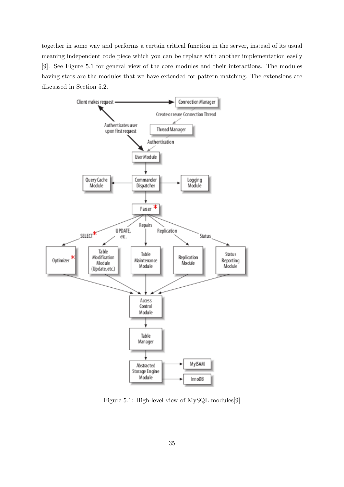together in some way and performs a certain critical function in the server, instead of its usual meaning independent code piece which you can be replace with another implementation easily [9]. See Figure 5.1 for general view of the core modules and their interactions. The modules having stars are the modules that we have extended for pattern matching. The extensions are discussed in Section 5.2.



Figure 5.1: High-level view of MySQL modules[9]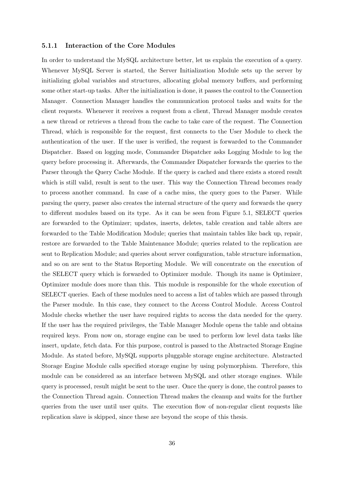#### 5.1.1 Interaction of the Core Modules

In order to understand the MySQL architecture better, let us explain the execution of a query. Whenever MySQL Server is started, the Server Initialization Module sets up the server by initializing global variables and structures, allocating global memory buffers, and performing some other start-up tasks. After the initialization is done, it passes the control to the Connection Manager. Connection Manager handles the communication protocol tasks and waits for the client requests. Whenever it receives a request from a client, Thread Manager module creates a new thread or retrieves a thread from the cache to take care of the request. The Connection Thread, which is responsible for the request, first connects to the User Module to check the authentication of the user. If the user is verified, the request is forwarded to the Commander Dispatcher. Based on logging mode, Commander Dispatcher asks Logging Module to log the query before processing it. Afterwards, the Commander Dispatcher forwards the queries to the Parser through the Query Cache Module. If the query is cached and there exists a stored result which is still valid, result is sent to the user. This way the Connection Thread becomes ready to process another command. In case of a cache miss, the query goes to the Parser. While parsing the query, parser also creates the internal structure of the query and forwards the query to different modules based on its type. As it can be seen from Figure 5.1, SELECT queries are forwarded to the Optimizer; updates, inserts, deletes, table creation and table alters are forwarded to the Table Modification Module; queries that maintain tables like back up, repair, restore are forwarded to the Table Maintenance Module; queries related to the replication are sent to Replication Module; and queries about server configuration, table structure information, and so on are sent to the Status Reporting Module. We will concentrate on the execution of the SELECT query which is forwarded to Optimizer module. Though its name is Optimizer, Optimizer module does more than this. This module is responsible for the whole execution of SELECT queries. Each of these modules need to access a list of tables which are passed through the Parser module. In this case, they connect to the Access Control Module. Access Control Module checks whether the user have required rights to access the data needed for the query. If the user has the required privileges, the Table Manager Module opens the table and obtains required keys. From now on, storage engine can be used to perform low level data tasks like insert, update, fetch data. For this purpose, control is passed to the Abstracted Storage Engine Module. As stated before, MySQL supports pluggable storage engine architecture. Abstracted Storage Engine Module calls specified storage engine by using polymorphism. Therefore, this module can be considered as an interface between MySQL and other storage engines. While query is processed, result might be sent to the user. Once the query is done, the control passes to the Connection Thread again. Connection Thread makes the cleanup and waits for the further queries from the user until user quits. The execution flow of non-regular client requests like replication slave is skipped, since these are beyond the scope of this thesis.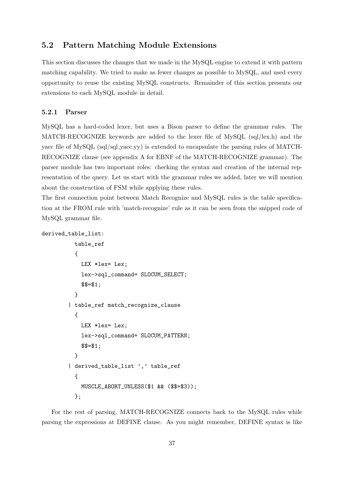### 5.2 Pattern Matching Module Extensions

This section discusses the changes that we made in the MySQL engine to extend it with pattern matching capability. We tried to make as fewer changes as possible to MySQL, and used every opportunity to reuse the existing MySQL constructs. Remainder of this section presents our extensions to each MySQL module in detail.

#### 5.2.1 Parser

MySQL has a hard-coded lexer, but uses a Bison parser to define the grammar rules. The MATCH-RECOGNIZE keywords are added to the lexer file of MySQL (sql/lex.h) and the yacc file of  $MySQL$  (sql/sql\_yacc.yy) is extended to encapsulate the parsing rules of MATCH-RECOGNIZE clause (see appendix A for EBNF of the MATCH-RECOGNIZE grammar). The parser module has two important roles: checking the syntax and creation of the internal representation of the query. Let us start with the grammar rules we added, later we will mention about the construction of FSM while applying these rules.

The first connection point between Match Recognize and MySQL rules is the table specification at the FROM rule with 'match-recognize' rule as it can be seen from the snipped code of MySQL grammar file.

```
derived_table_list:
```

```
table_ref
 {
   LEX *lex= Lex;
   lex->sql_command= SLOCUM_SELECT;
   $$=$1;
 }
| table_ref match_recognize_clause
 {
   LEX *lex= Lex;
   lex->sql_command= SLOCUM_PATTERN;
    $$=$1;
 }
| derived_table_list ',' table_ref
 {
   MUSCLE_ABORT_UNLESS($1 && ($$=$3));
 };
```
For the rest of parsing, MATCH-RECOGNIZE connects back to the MySQL rules while parsing the expressions at DEFINE clause. As you might remember, DEFINE syntax is like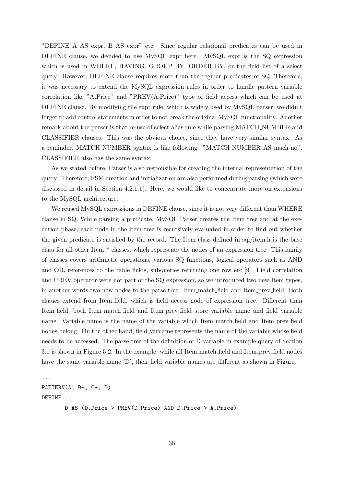"DEFINE A AS expr, B AS expr" etc. Since regular relational predicates can be used in DEFINE clause, we decided to use MySQL expr here. MySQL expr is the SQ expression which is used in WHERE, HAVING, GROUP BY, ORDER BY, or the field list of a select query. However, DEFINE clause requires more than the regular predicates of SQ. Therefore, it was necessary to extend the MySQL expression rules in order to handle pattern variable correlation like "A.Price" and "PREV(A.Price)" type of field access which can be used at DEFINE clause. By modifying the expr rule, which is widely used by MySQL parser, we didn't forget to add control statements in order to not break the original MySQL functionality. Another remark about the parser is that re-use of select alias rule while parsing MATCH NUMBER and CLASSIFIER clauses. This was the obvious choice, since they have very similar syntax. As a reminder, MATCH NUMBER syntax is like following: "MATCH NUMBER AS mach no". CLASSIFIER also has the same syntax.

As we stated before, Parser is also responsible for creating the internal representation of the query. Therefore, FSM creation and initialization are also performed during parsing (which were discussed in detail in Section 4.2.1.1). Here, we would like to concentrate more on extensions to the MySQL architecture.

We reused MySQL expressions in DEFINE clause, since it is not very different than WHERE clause in SQ. While parsing a predicate, MySQL Parser creates the Item tree and at the execution phase, each node in the item tree is recursively evaluated in order to find out whether the given predicate is satisfied by the record. The Item class defined in sql/item.h is the base class for all other Item<sub>-</sub>\* classes, which represents the nodes of an expression tree. This family of classes covers arithmetic operations, various SQ functions, logical operators such as AND and OR, references to the table fields, subqueries returning one row etc [9]. Field correlation and PREV operator were not part of the SQ expression, so we introduced two new Item types, in another words two new nodes to the parse tree: Item match field and Item prev field. Both classes extend from Item field, which is field access node of expression tree. Different than Item field, both Item match field and Item prev field store variable name and field variable name. Variable name is the name of the variable which Item match field and Item prev field nodes belong. On the other hand, field varname represents the name of the variable whose field needs to be accessed. The parse tree of the definition of D variable in example query of Section 3.1 is shown in Figure 5.2. In the example, while all Item match field and Item prev field nodes have the same variable name 'D', their field variable names are different as shown in Figure.

... PATTERN(A, B+, C+, D) DEFINE ... D AS (D.Price > PREV(D.Price) AND D.Price > A.Price)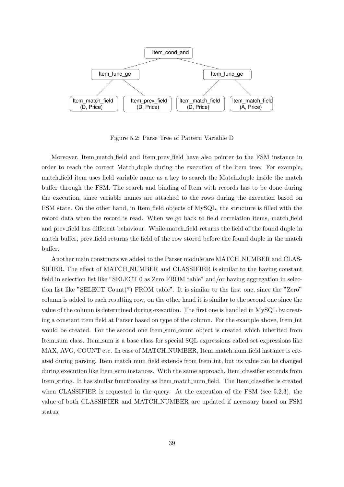

Figure 5.2: Parse Tree of Pattern Variable D

Moreover, Item match field and Item prev field have also pointer to the FSM instance in order to reach the correct Match duple during the execution of the item tree. For example, match field item uses field variable name as a key to search the Match duple inside the match buffer through the FSM. The search and binding of Item with records has to be done during the execution, since variable names are attached to the rows during the execution based on FSM state. On the other hand, in Item field objects of MySQL, the structure is filled with the record data when the record is read. When we go back to field correlation items, match field and prev field has different behaviour. While match field returns the field of the found duple in match buffer, prev field returns the field of the row stored before the found duple in the match buffer.

Another main constructs we added to the Parser module are MATCH NUMBER and CLAS-SIFIER. The effect of MATCH NUMBER and CLASSIFIER is similar to the having constant field in selection list like "SELECT 0 as Zero FROM table" and/or having aggregation in selection list like "SELECT Count(\*) FROM table". It is similar to the first one, since the "Zero" column is added to each resulting row, on the other hand it is similar to the second one since the value of the column is determined during execution. The first one is handled in MySQL by creating a constant item field at Parser based on type of the column. For the example above, Item int would be created. For the second one Item sum count object is created which inherited from Item sum class. Item sum is a base class for special SQL expressions called set expressions like MAX, AVG, COUNT etc. In case of MATCH\_NUMBER, Item\_match\_num\_field instance is created during parsing. Item match num field extends from Item int, but its value can be changed during execution like Item sum instances. With the same approach, Item classifier extends from Item string. It has similar functionality as Item match num field. The Item classifier is created when CLASSIFIER is requested in the query. At the execution of the FSM (see 5.2.3), the value of both CLASSIFIER and MATCH NUMBER are updated if necessary based on FSM status.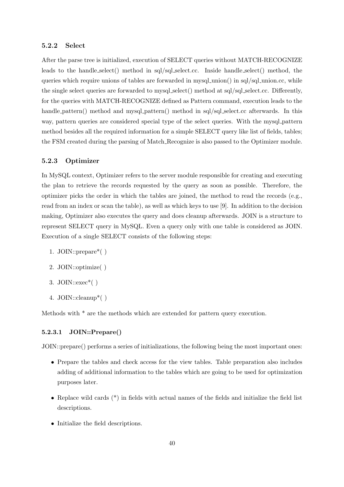#### 5.2.2 Select

After the parse tree is initialized, execution of SELECT queries without MATCH-RECOGNIZE leads to the handle select() method in sql/sql select.cc. Inside handle select() method, the queries which require unions of tables are forwarded in mysql\_union() in sql/sql\_union.cc, while the single select queries are forwarded to mysql select() method at sql/sql select.cc. Differently, for the queries with MATCH-RECOGNIZE defined as Pattern command, execution leads to the handle pattern() method and mysql pattern() method in sql/sql select.cc afterwards. In this way, pattern queries are considered special type of the select queries. With the mysql pattern method besides all the required information for a simple SELECT query like list of fields, tables; the FSM created during the parsing of Match Recognize is also passed to the Optimizer module.

### 5.2.3 Optimizer

In MySQL context, Optimizer refers to the server module responsible for creating and executing the plan to retrieve the records requested by the query as soon as possible. Therefore, the optimizer picks the order in which the tables are joined, the method to read the records (e.g., read from an index or scan the table), as well as which keys to use [9]. In addition to the decision making, Optimizer also executes the query and does cleanup afterwards. JOIN is a structure to represent SELECT query in MySQL. Even a query only with one table is considered as JOIN. Execution of a single SELECT consists of the following steps:

- 1. JOIN::prepare\*( )
- 2. JOIN::optimize( )
- 3. JOIN:: $exec^*()$
- 4. JOIN::cleanup\*( )

Methods with \* are the methods which are extended for pattern query execution.

#### 5.2.3.1 JOIN::Prepare()

JOIN::prepare() performs a series of initializations, the following being the most important ones:

- Prepare the tables and check access for the view tables. Table preparation also includes adding of additional information to the tables which are going to be used for optimization purposes later.
- Replace wild cards  $(*)$  in fields with actual names of the fields and initialize the field list descriptions.
- Initialize the field descriptions.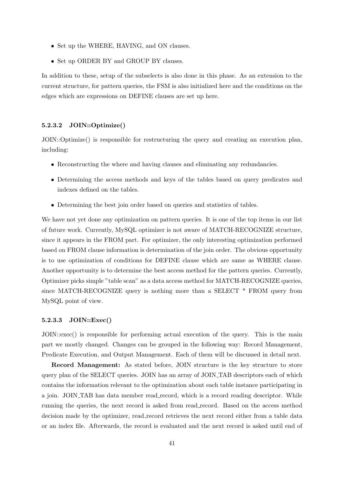- Set up the WHERE, HAVING, and ON clauses.
- Set up ORDER BY and GROUP BY clauses.

In addition to these, setup of the subselects is also done in this phase. As an extension to the current structure, for pattern queries, the FSM is also initialized here and the conditions on the edges which are expressions on DEFINE clauses are set up here.

#### 5.2.3.2 JOIN::Optimize()

JOIN::Optimize() is responsible for restructuring the query and creating an execution plan, including:

- Reconstructing the where and having clauses and eliminating any redundancies.
- Determining the access methods and keys of the tables based on query predicates and indexes defined on the tables.
- Determining the best join order based on queries and statistics of tables.

We have not yet done any optimization on pattern queries. It is one of the top items in our list of future work. Currently, MySQL optimizer is not aware of MATCH-RECOGNIZE structure, since it appears in the FROM part. For optimizer, the only interesting optimization performed based on FROM clause information is determination of the join order. The obvious opportunity is to use optimization of conditions for DEFINE clause which are same as WHERE clause. Another opportunity is to determine the best access method for the pattern queries. Currently, Optimizer picks simple "table scan" as a data access method for MATCH-RECOGNIZE queries, since MATCH-RECOGNIZE query is nothing more than a SELECT \* FROM query from MySQL point of view.

#### 5.2.3.3 JOIN::Exec()

JOIN::exec() is responsible for performing actual execution of the query. This is the main part we mostly changed. Changes can be grouped in the following way: Record Management, Predicate Execution, and Output Management. Each of them will be discussed in detail next.

Record Management: As stated before, JOIN structure is the key structure to store query plan of the SELECT queries. JOIN has an array of JOIN TAB descriptors each of which contains the information relevant to the optimization about each table instance participating in a join. JOIN TAB has data member read record, which is a record reading descriptor. While running the queries, the next record is asked from read record. Based on the access method decision made by the optimizer, read record retrieves the next record either from a table data or an index file. Afterwards, the record is evaluated and the next record is asked until end of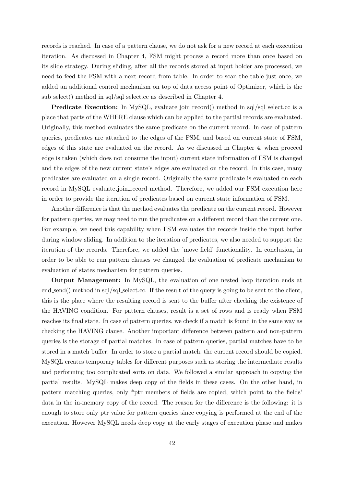records is reached. In case of a pattern clause, we do not ask for a new record at each execution iteration. As discussed in Chapter 4, FSM might process a record more than once based on its slide strategy. During sliding, after all the records stored at input holder are processed, we need to feed the FSM with a next record from table. In order to scan the table just once, we added an additional control mechanism on top of data access point of Optimizer, which is the sub select() method in sql/sql select.cc as described in Chapter 4.

**Predicate Execution:** In MySQL, evaluate join record() method in sql/sql select.cc is a place that parts of the WHERE clause which can be applied to the partial records are evaluated. Originally, this method evaluates the same predicate on the current record. In case of pattern queries, predicates are attached to the edges of the FSM, and based on current state of FSM, edges of this state are evaluated on the record. As we discussed in Chapter 4, when proceed edge is taken (which does not consume the input) current state information of FSM is changed and the edges of the new current state's edges are evaluated on the record. In this case, many predicates are evaluated on a single record. Originally the same predicate is evaluated on each record in MySQL evaluate join record method. Therefore, we added our FSM execution here in order to provide the iteration of predicates based on current state information of FSM.

Another difference is that the method evaluates the predicate on the current record. However for pattern queries, we may need to run the predicates on a different record than the current one. For example, we need this capability when FSM evaluates the records inside the input buffer during window sliding. In addition to the iteration of predicates, we also needed to support the iteration of the records. Therefore, we added the 'move field' functionality. In conclusion, in order to be able to run pattern clauses we changed the evaluation of predicate mechanism to evaluation of states mechanism for pattern queries.

Output Management: In MySQL, the evaluation of one nested loop iteration ends at end send() method in sql/sql select.cc. If the result of the query is going to be sent to the client, this is the place where the resulting record is sent to the buffer after checking the existence of the HAVING condition. For pattern clauses, result is a set of rows and is ready when FSM reaches its final state. In case of pattern queries, we check if a match is found in the same way as checking the HAVING clause. Another important difference between pattern and non-pattern queries is the storage of partial matches. In case of pattern queries, partial matches have to be stored in a match buffer. In order to store a partial match, the current record should be copied. MySQL creates temporary tables for different purposes such as storing the intermediate results and performing too complicated sorts on data. We followed a similar approach in copying the partial results. MySQL makes deep copy of the fields in these cases. On the other hand, in pattern matching queries, only \*ptr members of fields are copied, which point to the fields' data in the in-memory copy of the record. The reason for the difference is the following: it is enough to store only ptr value for pattern queries since copying is performed at the end of the execution. However MySQL needs deep copy at the early stages of execution phase and makes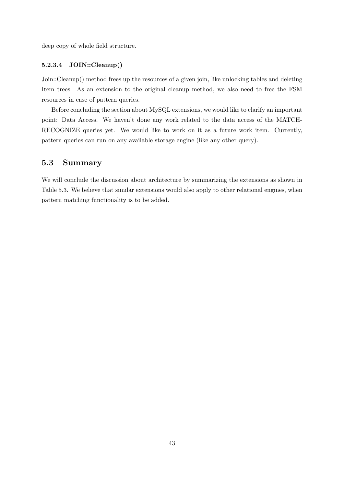deep copy of whole field structure.

#### 5.2.3.4 JOIN::Cleanup()

Join::Cleanup() method frees up the resources of a given join, like unlocking tables and deleting Item trees. As an extension to the original cleanup method, we also need to free the FSM resources in case of pattern queries.

Before concluding the section about MySQL extensions, we would like to clarify an important point: Data Access. We haven't done any work related to the data access of the MATCH-RECOGNIZE queries yet. We would like to work on it as a future work item. Currently, pattern queries can run on any available storage engine (like any other query).

## 5.3 Summary

We will conclude the discussion about architecture by summarizing the extensions as shown in Table 5.3. We believe that similar extensions would also apply to other relational engines, when pattern matching functionality is to be added.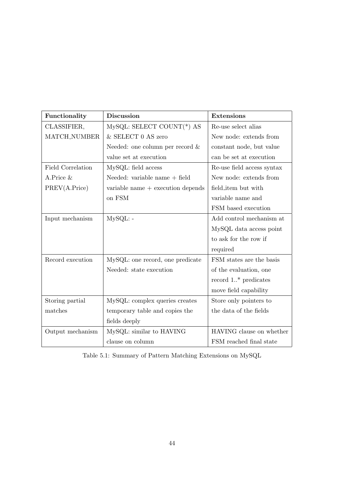| Functionality       | <b>Discussion</b>                   | <b>Extensions</b>          |
|---------------------|-------------------------------------|----------------------------|
| CLASSIFIER,         | $MySQL: SELECT COUNT(*) AS$         | Re-use select alias        |
| <b>MATCH_NUMBER</b> | & SELECT 0 AS zero                  | New node: extends from     |
|                     | Needed: one column per record $\&$  | constant node, but value   |
|                     | value set at execution              | can be set at execution    |
| Field Correlation   | MySQL: field access                 | Re-use field access syntax |
| A.Price $&$         | Needed: variable name $+$ field     | New node: extends from     |
| PREV(A.Price)       | variable name $+$ execution depends | field_item but with        |
|                     | on FSM                              | variable name and          |
|                     |                                     | FSM based execution        |
| Input mechanism     | MySQL: -                            | Add control mechanism at   |
|                     |                                     | MySQL data access point    |
|                     |                                     | to ask for the row if      |
|                     |                                     | required                   |
| Record execution    | MySQL: one record, one predicate    | FSM states are the basis   |
|                     | Needed: state execution             | of the evaluation, one     |
|                     |                                     | record $1.^*$ predicates   |
|                     |                                     | move field capability      |
| Storing partial     | MySQL: complex queries creates      | Store only pointers to     |
| matches             | temporary table and copies the      | the data of the fields     |
|                     | fields deeply                       |                            |
| Output mechanism    | MySQL: similar to HAVING            | HAVING clause on whether   |
|                     | clause on column                    | FSM reached final state    |

Table 5.1: Summary of Pattern Matching Extensions on MySQL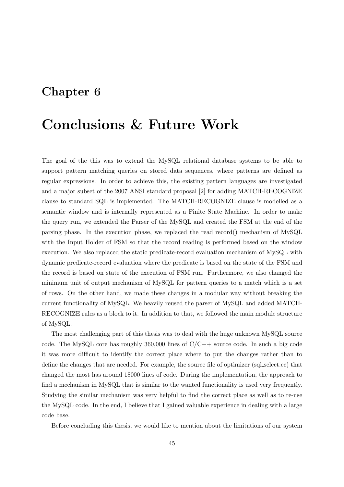## Chapter 6

## Conclusions & Future Work

The goal of the this was to extend the MySQL relational database systems to be able to support pattern matching queries on stored data sequences, where patterns are defined as regular expressions. In order to achieve this, the existing pattern languages are investigated and a major subset of the 2007 ANSI standard proposal [2] for adding MATCH-RECOGNIZE clause to standard SQL is implemented. The MATCH-RECOGNIZE clause is modelled as a semantic window and is internally represented as a Finite State Machine. In order to make the query run, we extended the Parser of the MySQL and created the FSM at the end of the parsing phase. In the execution phase, we replaced the read record() mechanism of MySQL with the Input Holder of FSM so that the record reading is performed based on the window execution. We also replaced the static predicate-record evaluation mechanism of MySQL with dynamic predicate-record evaluation where the predicate is based on the state of the FSM and the record is based on state of the execution of FSM run. Furthermore, we also changed the minimum unit of output mechanism of MySQL for pattern queries to a match which is a set of rows. On the other hand, we made these changes in a modular way without breaking the current functionality of MySQL. We heavily reused the parser of MySQL and added MATCH-RECOGNIZE rules as a block to it. In addition to that, we followed the main module structure of MySQL.

The most challenging part of this thesis was to deal with the huge unknown MySQL source code. The MySQL core has roughly  $360,000$  lines of  $C/C++$  source code. In such a big code it was more difficult to identify the correct place where to put the changes rather than to define the changes that are needed. For example, the source file of optimizer (sql select.cc) that changed the most has around 18000 lines of code. During the implementation, the approach to find a mechanism in MySQL that is similar to the wanted functionality is used very frequently. Studying the similar mechanism was very helpful to find the correct place as well as to re-use the MySQL code. In the end, I believe that I gained valuable experience in dealing with a large code base.

Before concluding this thesis, we would like to mention about the limitations of our system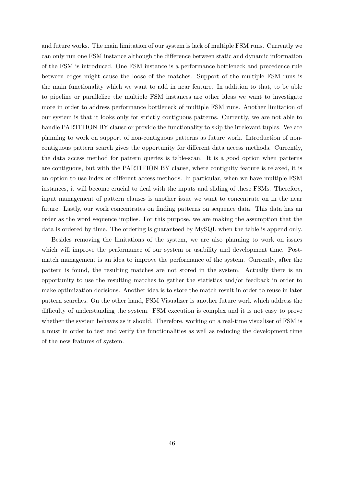and future works. The main limitation of our system is lack of multiple FSM runs. Currently we can only run one FSM instance although the difference between static and dynamic information of the FSM is introduced. One FSM instance is a performance bottleneck and precedence rule between edges might cause the loose of the matches. Support of the multiple FSM runs is the main functionality which we want to add in near feature. In addition to that, to be able to pipeline or parallelize the multiple FSM instances are other ideas we want to investigate more in order to address performance bottleneck of multiple FSM runs. Another limitation of our system is that it looks only for strictly contiguous patterns. Currently, we are not able to handle PARTITION BY clause or provide the functionality to skip the irrelevant tuples. We are planning to work on support of non-contiguous patterns as future work. Introduction of noncontiguous pattern search gives the opportunity for different data access methods. Currently, the data access method for pattern queries is table-scan. It is a good option when patterns are contiguous, but with the PARTITION BY clause, where contiguity feature is relaxed, it is an option to use index or different access methods. In particular, when we have multiple FSM instances, it will become crucial to deal with the inputs and sliding of these FSMs. Therefore, input management of pattern clauses is another issue we want to concentrate on in the near future. Lastly, our work concentrates on finding patterns on sequence data. This data has an order as the word sequence implies. For this purpose, we are making the assumption that the data is ordered by time. The ordering is guaranteed by MySQL when the table is append only.

Besides removing the limitations of the system, we are also planning to work on issues which will improve the performance of our system or usability and development time. Postmatch management is an idea to improve the performance of the system. Currently, after the pattern is found, the resulting matches are not stored in the system. Actually there is an opportunity to use the resulting matches to gather the statistics and/or feedback in order to make optimization decisions. Another idea is to store the match result in order to reuse in later pattern searches. On the other hand, FSM Visualizer is another future work which address the difficulty of understanding the system. FSM execution is complex and it is not easy to prove whether the system behaves as it should. Therefore, working on a real-time visualiser of FSM is a must in order to test and verify the functionalities as well as reducing the development time of the new features of system.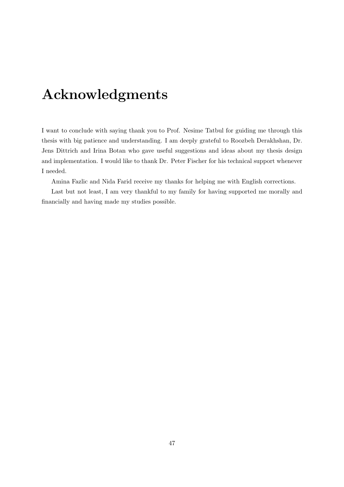# Acknowledgments

I want to conclude with saying thank you to Prof. Nesime Tatbul for guiding me through this thesis with big patience and understanding. I am deeply grateful to Roozbeh Derakhshan, Dr. Jens Dittrich and Irina Botan who gave useful suggestions and ideas about my thesis design and implementation. I would like to thank Dr. Peter Fischer for his technical support whenever I needed.

Amina Fazlic and Nida Farid receive my thanks for helping me with English corrections.

Last but not least, I am very thankful to my family for having supported me morally and financially and having made my studies possible.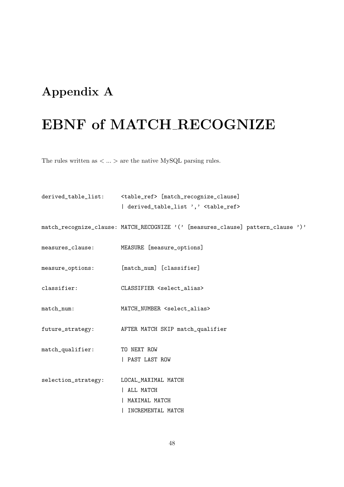## Appendix A

# EBNF of MATCH RECOGNIZE

The rules written as  $\langle \dots \rangle$  are the native MySQL parsing rules.

```
derived_table_list: <table_ref> [match_recognize_clause]
                      | derived_table_list ',' <table_ref>
match_recognize_clause: MATCH_RECOGNIZE '(' [measures_clause] pattern_clause ')'
measures_clause: MEASURE [measure_options]
measure_options: [match_num] [classifier]
classifier: CLASSIFIER <select_alias>
match_num: MATCH_NUMBER <select_alias>
future_strategy: AFTER MATCH SKIP match_qualifier
match_qualifier: TO NEXT ROW
                     | PAST LAST ROW
selection_strategy: LOCAL_MAXIMAL MATCH
                     | ALL MATCH
                      | MAXIMAL MATCH
                      | INCREMENTAL MATCH
```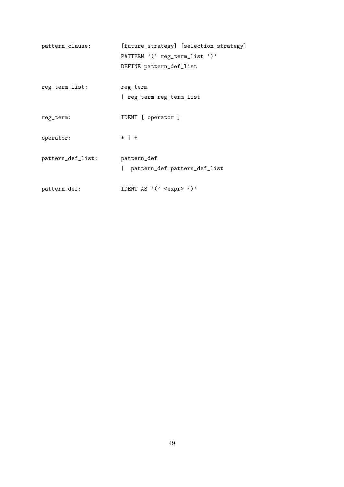| pattern_clause:   | [future_strategy] [selection_strategy]      |
|-------------------|---------------------------------------------|
|                   | PATTERN '('reg_term_list ')'                |
|                   | DEFINE pattern_def_list                     |
| reg_term_list:    | reg_term                                    |
|                   | reg_term reg_term_list                      |
| reg_term:         | IDENT [ operator ]                          |
| operator:         | $*$   +                                     |
| pattern_def_list: | pattern_def<br>pattern_def pattern_def_list |
| pattern_def:      | IDENT AS $'($ <expr>')'</expr>              |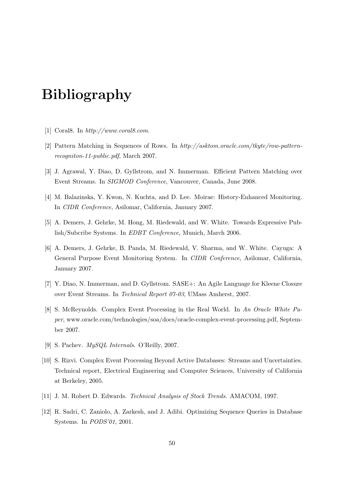# Bibliography

- [1] Coral8. In http://www.coral8.com.
- [2] Pattern Matching in Sequences of Rows. In http://asktom.oracle.com/tkyte/row-patternrecogniton-11-public.pdf, March 2007.
- [3] J. Agrawal, Y. Diao, D. Gyllstrom, and N. Immerman. Efficient Pattern Matching over Event Streams. In SIGMOD Conference, Vancouver, Canada, June 2008.
- [4] M. Balazinska, Y. Kwon, N. Kuchta, and D. Lee. Moirae: History-Enhanced Monitoring. In CIDR Conference, Asilomar, California, January 2007.
- [5] A. Demers, J. Gehrke, M. Hong, M. Riedewald, and W. White. Towards Expressive Publish/Subcribe Systems. In EDBT Conference, Munich, March 2006.
- [6] A. Demers, J. Gehrke, B. Panda, M. Riedewald, V. Sharma, and W. White. Cayuga: A General Purpose Event Monitoring System. In CIDR Conference, Asilomar, California, January 2007.
- [7] Y. Diao, N. Immerman, and D. Gyllstrom. SASE+: An Agile Language for Kleene Closure over Event Streams. In Technical Report 07-03, UMass Amherst, 2007.
- [8] S. McReynolds. Complex Event Processing in the Real World. In An Oracle White Paper, www.oracle.com/technologies/soa/docs/oracle-complex-event-processing.pdf, September 2007.
- [9] S. Pachev. MySQL Internals. O'Reilly, 2007.
- [10] S. Rizvi. Complex Event Processing Beyond Active Databases: Streams and Uncertainties. Technical report, Electrical Engineering and Computer Sciences, University of California at Berkeley, 2005.
- [11] J. M. Robert D. Edwards. Technical Analysis of Stock Trends. AMACOM, 1997.
- [12] R. Sadri, C. Zaniolo, A. Zarkesh, and J. Adibi. Optimizing Sequence Queries in Database Systems. In PODS'01, 2001.